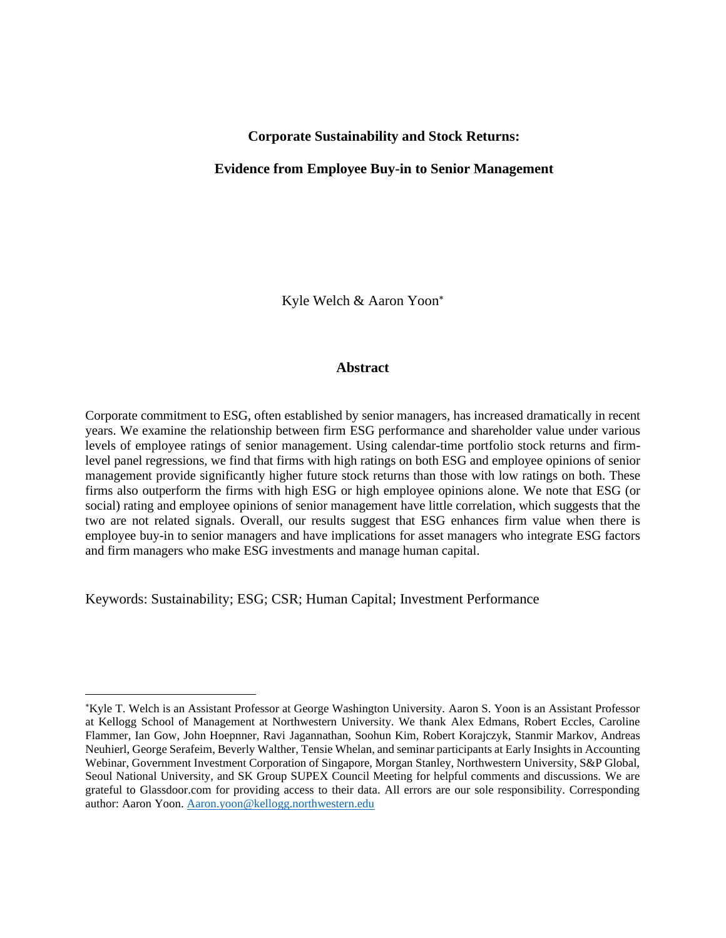## **Corporate Sustainability and Stock Returns:**

## **Evidence from Employee Buy-in to Senior Management**

Kyle Welch & Aaron Yoon

## **Abstract**

Corporate commitment to ESG, often established by senior managers, has increased dramatically in recent years. We examine the relationship between firm ESG performance and shareholder value under various levels of employee ratings of senior management. Using calendar-time portfolio stock returns and firmlevel panel regressions, we find that firms with high ratings on both ESG and employee opinions of senior management provide significantly higher future stock returns than those with low ratings on both. These firms also outperform the firms with high ESG or high employee opinions alone. We note that ESG (or social) rating and employee opinions of senior management have little correlation, which suggests that the two are not related signals. Overall, our results suggest that ESG enhances firm value when there is employee buy-in to senior managers and have implications for asset managers who integrate ESG factors and firm managers who make ESG investments and manage human capital.

Keywords: Sustainability; ESG; CSR; Human Capital; Investment Performance

Kyle T. Welch is an Assistant Professor at George Washington University. Aaron S. Yoon is an Assistant Professor at Kellogg School of Management at Northwestern University. We thank Alex Edmans, Robert Eccles, Caroline Flammer, Ian Gow, John Hoepnner, Ravi Jagannathan, Soohun Kim, Robert Korajczyk, Stanmir Markov, Andreas Neuhierl, George Serafeim, Beverly Walther, Tensie Whelan, and seminar participants at Early Insights in Accounting Webinar, Government Investment Corporation of Singapore, Morgan Stanley, Northwestern University, S&P Global, Seoul National University, and SK Group SUPEX Council Meeting for helpful comments and discussions. We are grateful to Glassdoor.com for providing access to their data. All errors are our sole responsibility. Corresponding author: Aaron Yoon. [Aaron.yoon@kellogg.northwestern.edu](mailto:Aaron.yoon@kellogg.northwestern.edu)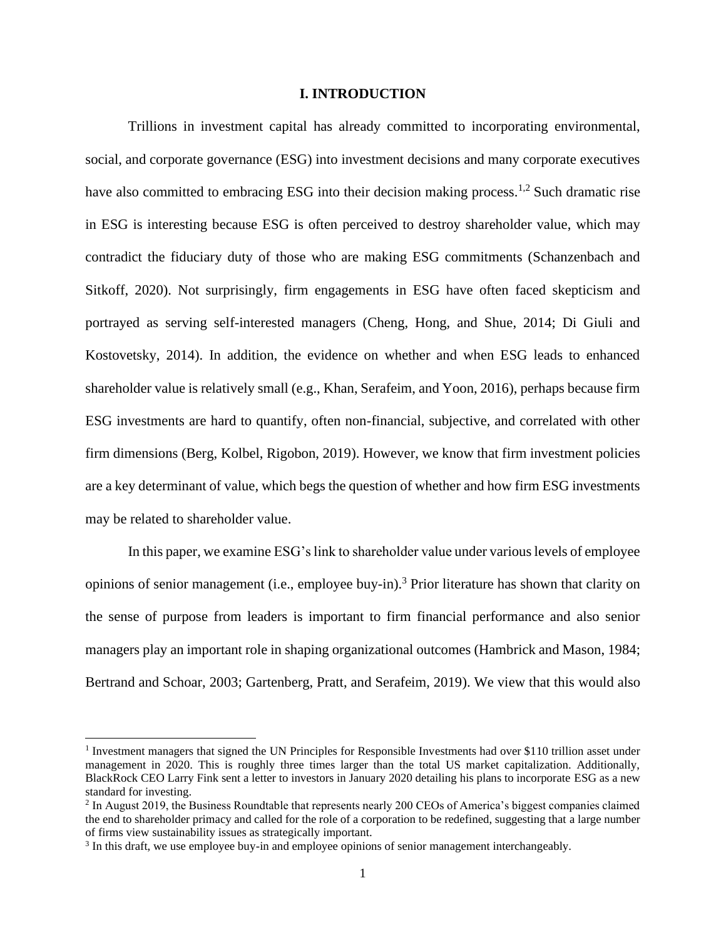## **I. INTRODUCTION**

Trillions in investment capital has already committed to incorporating environmental, social, and corporate governance (ESG) into investment decisions and many corporate executives have also committed to embracing ESG into their decision making process.<sup>1,2</sup> Such dramatic rise in ESG is interesting because ESG is often perceived to destroy shareholder value, which may contradict the fiduciary duty of those who are making ESG commitments (Schanzenbach and Sitkoff, 2020). Not surprisingly, firm engagements in ESG have often faced skepticism and portrayed as serving self-interested managers (Cheng, Hong, and Shue, 2014; Di Giuli and Kostovetsky, 2014). In addition, the evidence on whether and when ESG leads to enhanced shareholder value is relatively small (e.g., Khan, Serafeim, and Yoon, 2016), perhaps because firm ESG investments are hard to quantify, often non-financial, subjective, and correlated with other firm dimensions (Berg, Kolbel, Rigobon, 2019). However, we know that firm investment policies are a key determinant of value, which begs the question of whether and how firm ESG investments may be related to shareholder value.

In this paper, we examine ESG's link to shareholder value under various levels of employee opinions of senior management (i.e., employee buy-in).<sup>3</sup> Prior literature has shown that clarity on the sense of purpose from leaders is important to firm financial performance and also senior managers play an important role in shaping organizational outcomes (Hambrick and Mason, 1984; Bertrand and Schoar, 2003; Gartenberg, Pratt, and Serafeim, 2019). We view that this would also

<sup>&</sup>lt;sup>1</sup> Investment managers that signed the UN Principles for Responsible Investments had over \$110 trillion asset under management in 2020. This is roughly three times larger than the total US market capitalization. Additionally, BlackRock CEO Larry Fink sent a letter to investors in January 2020 detailing his plans to incorporate ESG as a new standard for investing.

 $2$  In August 2019, the Business Roundtable that represents nearly 200 CEOs of America's biggest companies claimed the end to shareholder primacy and called for the role of a corporation to be redefined, suggesting that a large number of firms view sustainability issues as strategically important.

<sup>&</sup>lt;sup>3</sup> In this draft, we use employee buy-in and employee opinions of senior management interchangeably.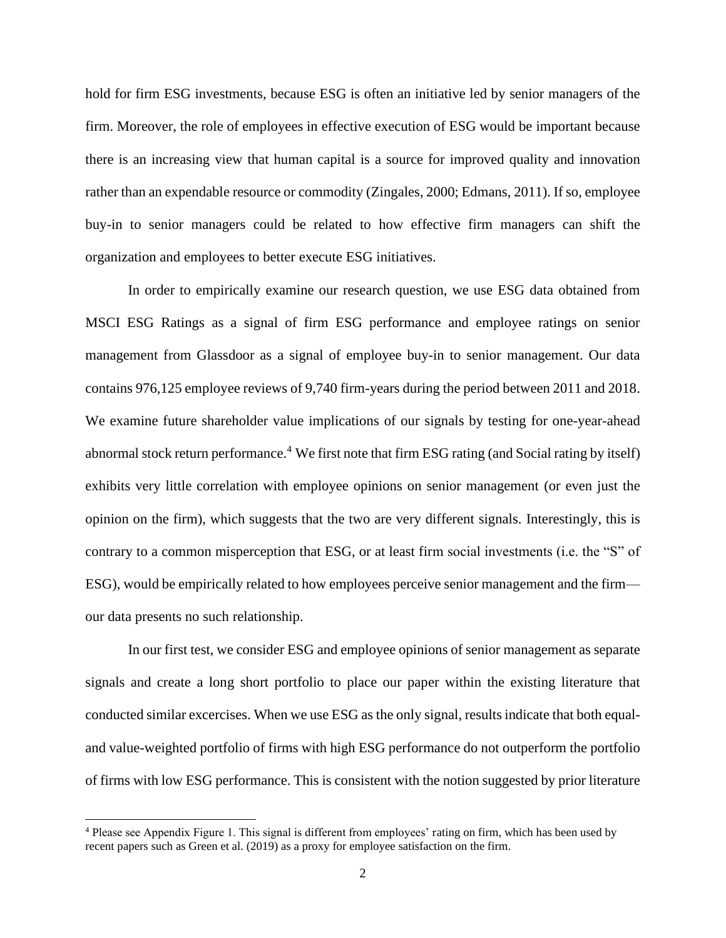hold for firm ESG investments, because ESG is often an initiative led by senior managers of the firm. Moreover, the role of employees in effective execution of ESG would be important because there is an increasing view that human capital is a source for improved quality and innovation rather than an expendable resource or commodity (Zingales, 2000; Edmans, 2011). If so, employee buy-in to senior managers could be related to how effective firm managers can shift the organization and employees to better execute ESG initiatives.

In order to empirically examine our research question, we use ESG data obtained from MSCI ESG Ratings as a signal of firm ESG performance and employee ratings on senior management from Glassdoor as a signal of employee buy-in to senior management. Our data contains 976,125 employee reviews of 9,740 firm-years during the period between 2011 and 2018. We examine future shareholder value implications of our signals by testing for one-year-ahead abnormal stock return performance.<sup>4</sup> We first note that firm ESG rating (and Social rating by itself) exhibits very little correlation with employee opinions on senior management (or even just the opinion on the firm), which suggests that the two are very different signals. Interestingly, this is contrary to a common misperception that ESG, or at least firm social investments (i.e. the "S" of ESG), would be empirically related to how employees perceive senior management and the firm our data presents no such relationship.

In our first test, we consider ESG and employee opinions of senior management as separate signals and create a long short portfolio to place our paper within the existing literature that conducted similar excercises. When we use ESG as the only signal, results indicate that both equaland value-weighted portfolio of firms with high ESG performance do not outperform the portfolio of firms with low ESG performance. This is consistent with the notion suggested by prior literature

<sup>4</sup> Please see Appendix Figure 1. This signal is different from employees' rating on firm, which has been used by recent papers such as Green et al. (2019) as a proxy for employee satisfaction on the firm.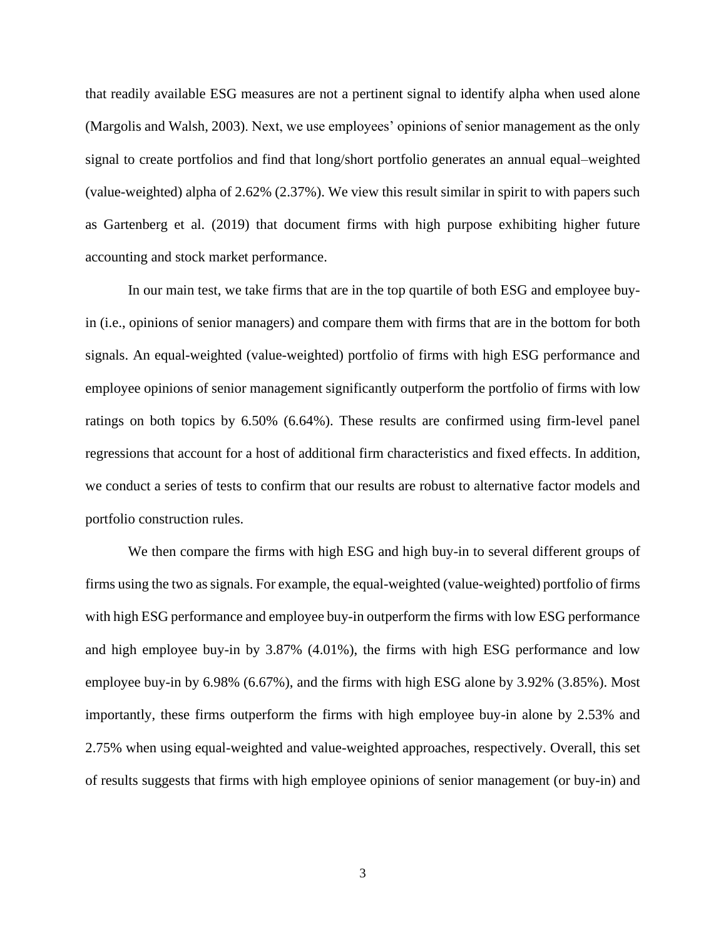that readily available ESG measures are not a pertinent signal to identify alpha when used alone (Margolis and Walsh, 2003). Next, we use employees' opinions of senior management as the only signal to create portfolios and find that long/short portfolio generates an annual equal–weighted (value-weighted) alpha of 2.62% (2.37%). We view this result similar in spirit to with papers such as Gartenberg et al. (2019) that document firms with high purpose exhibiting higher future accounting and stock market performance.

In our main test, we take firms that are in the top quartile of both ESG and employee buyin (i.e., opinions of senior managers) and compare them with firms that are in the bottom for both signals. An equal-weighted (value-weighted) portfolio of firms with high ESG performance and employee opinions of senior management significantly outperform the portfolio of firms with low ratings on both topics by 6.50% (6.64%). These results are confirmed using firm-level panel regressions that account for a host of additional firm characteristics and fixed effects. In addition, we conduct a series of tests to confirm that our results are robust to alternative factor models and portfolio construction rules.

We then compare the firms with high ESG and high buy-in to several different groups of firms using the two as signals. For example, the equal-weighted (value-weighted) portfolio of firms with high ESG performance and employee buy-in outperform the firms with low ESG performance and high employee buy-in by 3.87% (4.01%), the firms with high ESG performance and low employee buy-in by 6.98% (6.67%), and the firms with high ESG alone by 3.92% (3.85%). Most importantly, these firms outperform the firms with high employee buy-in alone by 2.53% and 2.75% when using equal-weighted and value-weighted approaches, respectively. Overall, this set of results suggests that firms with high employee opinions of senior management (or buy-in) and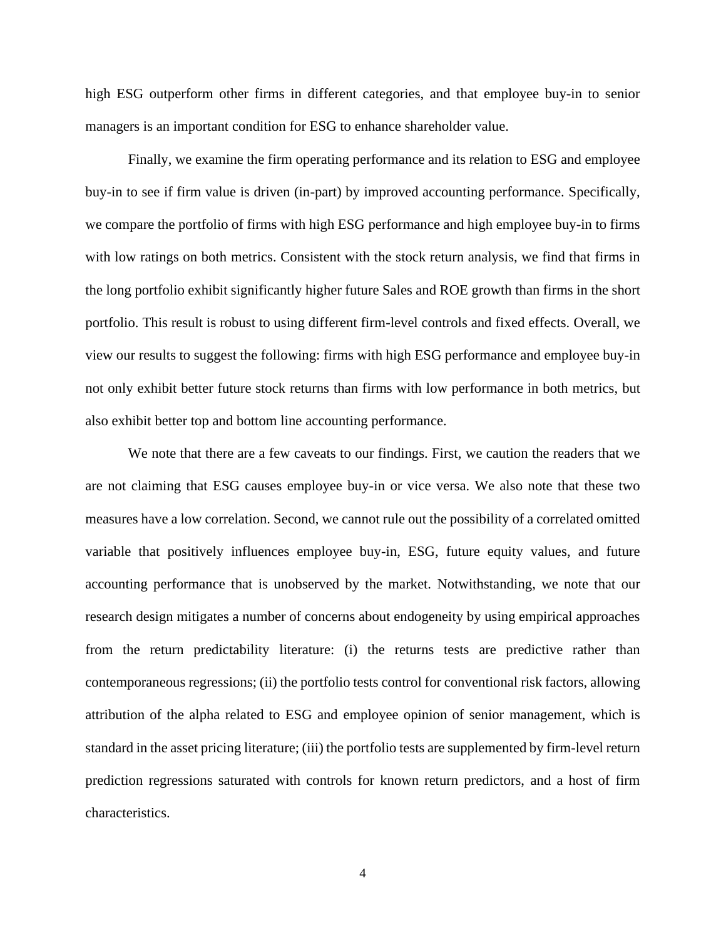high ESG outperform other firms in different categories, and that employee buy-in to senior managers is an important condition for ESG to enhance shareholder value.

Finally, we examine the firm operating performance and its relation to ESG and employee buy-in to see if firm value is driven (in-part) by improved accounting performance. Specifically, we compare the portfolio of firms with high ESG performance and high employee buy-in to firms with low ratings on both metrics. Consistent with the stock return analysis, we find that firms in the long portfolio exhibit significantly higher future Sales and ROE growth than firms in the short portfolio. This result is robust to using different firm-level controls and fixed effects. Overall, we view our results to suggest the following: firms with high ESG performance and employee buy-in not only exhibit better future stock returns than firms with low performance in both metrics, but also exhibit better top and bottom line accounting performance.

We note that there are a few caveats to our findings. First, we caution the readers that we are not claiming that ESG causes employee buy-in or vice versa. We also note that these two measures have a low correlation. Second, we cannot rule out the possibility of a correlated omitted variable that positively influences employee buy-in, ESG, future equity values, and future accounting performance that is unobserved by the market. Notwithstanding, we note that our research design mitigates a number of concerns about endogeneity by using empirical approaches from the return predictability literature: (i) the returns tests are predictive rather than contemporaneous regressions; (ii) the portfolio tests control for conventional risk factors, allowing attribution of the alpha related to ESG and employee opinion of senior management, which is standard in the asset pricing literature; (iii) the portfolio tests are supplemented by firm-level return prediction regressions saturated with controls for known return predictors, and a host of firm characteristics.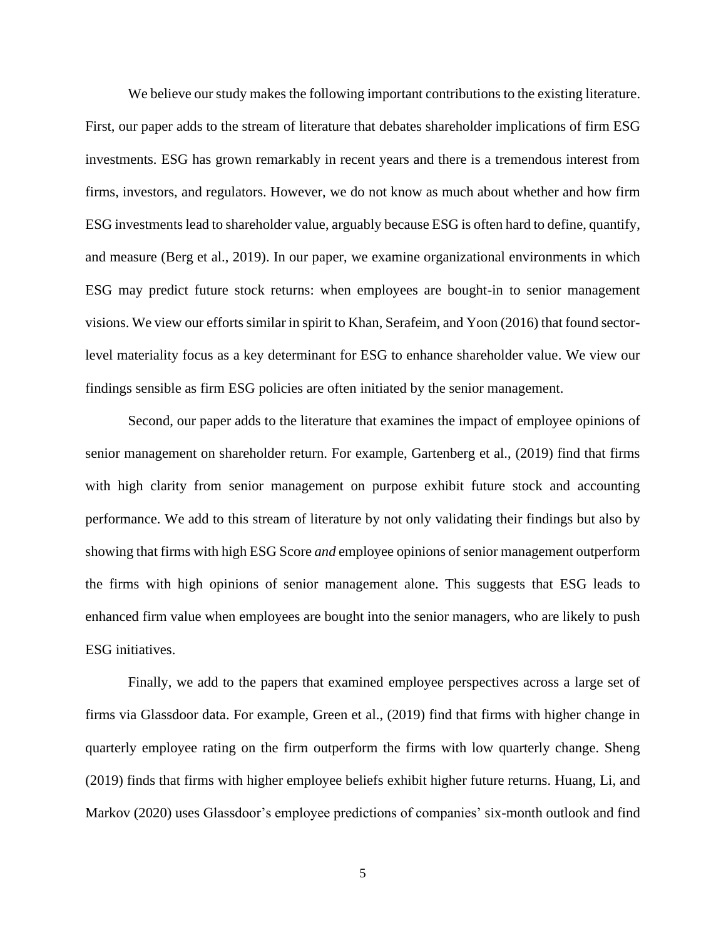We believe our study makes the following important contributions to the existing literature. First, our paper adds to the stream of literature that debates shareholder implications of firm ESG investments. ESG has grown remarkably in recent years and there is a tremendous interest from firms, investors, and regulators. However, we do not know as much about whether and how firm ESG investments lead to shareholder value, arguably because ESG is often hard to define, quantify, and measure (Berg et al., 2019). In our paper, we examine organizational environments in which ESG may predict future stock returns: when employees are bought-in to senior management visions. We view our efforts similar in spirit to Khan, Serafeim, and Yoon (2016) that found sectorlevel materiality focus as a key determinant for ESG to enhance shareholder value. We view our findings sensible as firm ESG policies are often initiated by the senior management.

Second, our paper adds to the literature that examines the impact of employee opinions of senior management on shareholder return. For example, Gartenberg et al., (2019) find that firms with high clarity from senior management on purpose exhibit future stock and accounting performance. We add to this stream of literature by not only validating their findings but also by showing that firms with high ESG Score *and* employee opinions of senior management outperform the firms with high opinions of senior management alone. This suggests that ESG leads to enhanced firm value when employees are bought into the senior managers, who are likely to push ESG initiatives.

Finally, we add to the papers that examined employee perspectives across a large set of firms via Glassdoor data. For example, Green et al., (2019) find that firms with higher change in quarterly employee rating on the firm outperform the firms with low quarterly change. Sheng (2019) finds that firms with higher employee beliefs exhibit higher future returns. Huang, Li, and Markov (2020) uses Glassdoor's employee predictions of companies' six-month outlook and find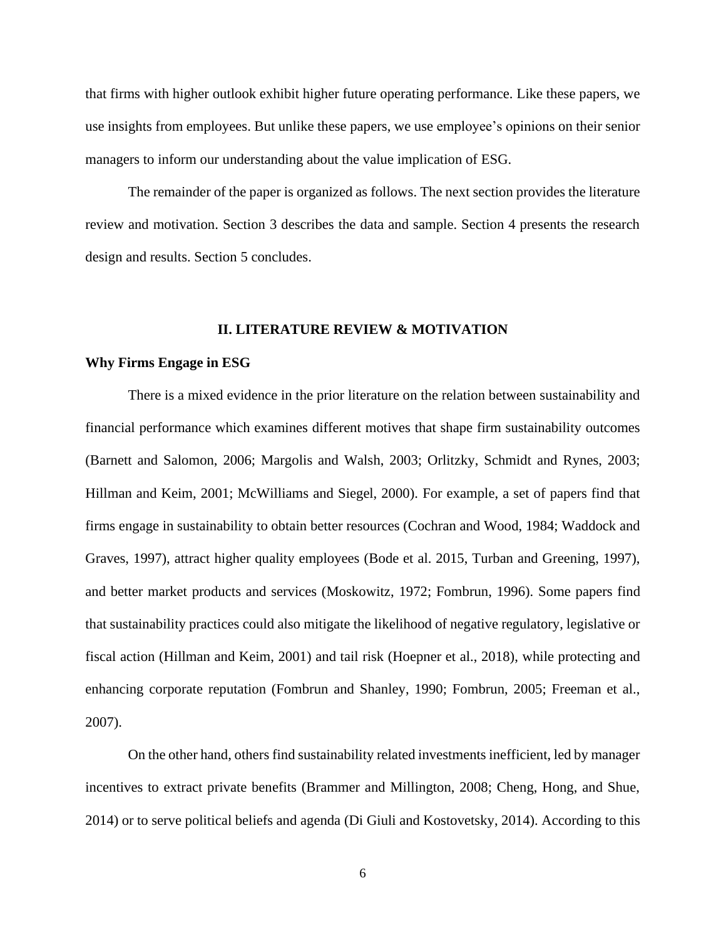that firms with higher outlook exhibit higher future operating performance. Like these papers, we use insights from employees. But unlike these papers, we use employee's opinions on their senior managers to inform our understanding about the value implication of ESG.

The remainder of the paper is organized as follows. The next section provides the literature review and motivation. Section 3 describes the data and sample. Section 4 presents the research design and results. Section 5 concludes.

## **II. LITERATURE REVIEW & MOTIVATION**

### **Why Firms Engage in ESG**

There is a mixed evidence in the prior literature on the relation between sustainability and financial performance which examines different motives that shape firm sustainability outcomes (Barnett and Salomon, 2006; Margolis and Walsh, 2003; Orlitzky, Schmidt and Rynes, 2003; Hillman and Keim, 2001; McWilliams and Siegel, 2000). For example, a set of papers find that firms engage in sustainability to obtain better resources (Cochran and Wood, 1984; Waddock and Graves, 1997), attract higher quality employees (Bode et al. 2015, Turban and Greening, 1997), and better market products and services (Moskowitz, 1972; Fombrun, 1996). Some papers find that sustainability practices could also mitigate the likelihood of negative regulatory, legislative or fiscal action (Hillman and Keim, 2001) and tail risk (Hoepner et al., 2018), while protecting and enhancing corporate reputation (Fombrun and Shanley, 1990; Fombrun, 2005; Freeman et al., 2007).

On the other hand, others find sustainability related investments inefficient, led by manager incentives to extract private benefits (Brammer and Millington, 2008; Cheng, Hong, and Shue, 2014) or to serve political beliefs and agenda (Di Giuli and Kostovetsky, 2014). According to this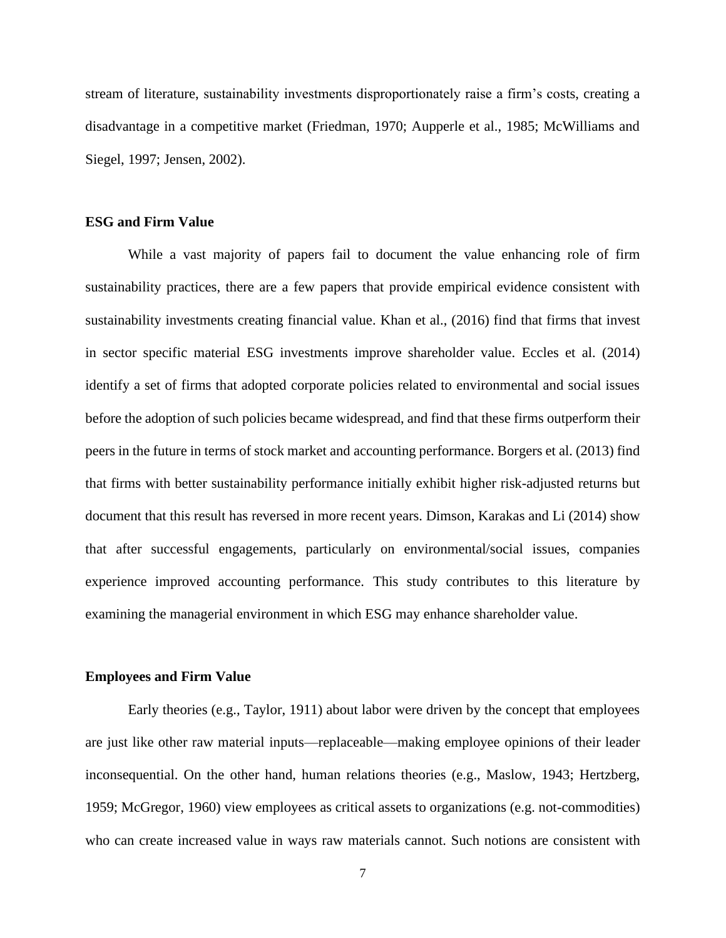stream of literature, sustainability investments disproportionately raise a firm's costs, creating a disadvantage in a competitive market (Friedman, 1970; Aupperle et al., 1985; McWilliams and Siegel, 1997; Jensen, 2002).

## **ESG and Firm Value**

While a vast majority of papers fail to document the value enhancing role of firm sustainability practices, there are a few papers that provide empirical evidence consistent with sustainability investments creating financial value. Khan et al., (2016) find that firms that invest in sector specific material ESG investments improve shareholder value. Eccles et al. (2014) identify a set of firms that adopted corporate policies related to environmental and social issues before the adoption of such policies became widespread, and find that these firms outperform their peers in the future in terms of stock market and accounting performance. Borgers et al. (2013) find that firms with better sustainability performance initially exhibit higher risk-adjusted returns but document that this result has reversed in more recent years. Dimson, Karakas and Li (2014) show that after successful engagements, particularly on environmental/social issues, companies experience improved accounting performance. This study contributes to this literature by examining the managerial environment in which ESG may enhance shareholder value.

### **Employees and Firm Value**

Early theories (e.g., Taylor, 1911) about labor were driven by the concept that employees are just like other raw material inputs—replaceable—making employee opinions of their leader inconsequential. On the other hand, human relations theories (e.g., Maslow, 1943; Hertzberg, 1959; McGregor, 1960) view employees as critical assets to organizations (e.g. not-commodities) who can create increased value in ways raw materials cannot. Such notions are consistent with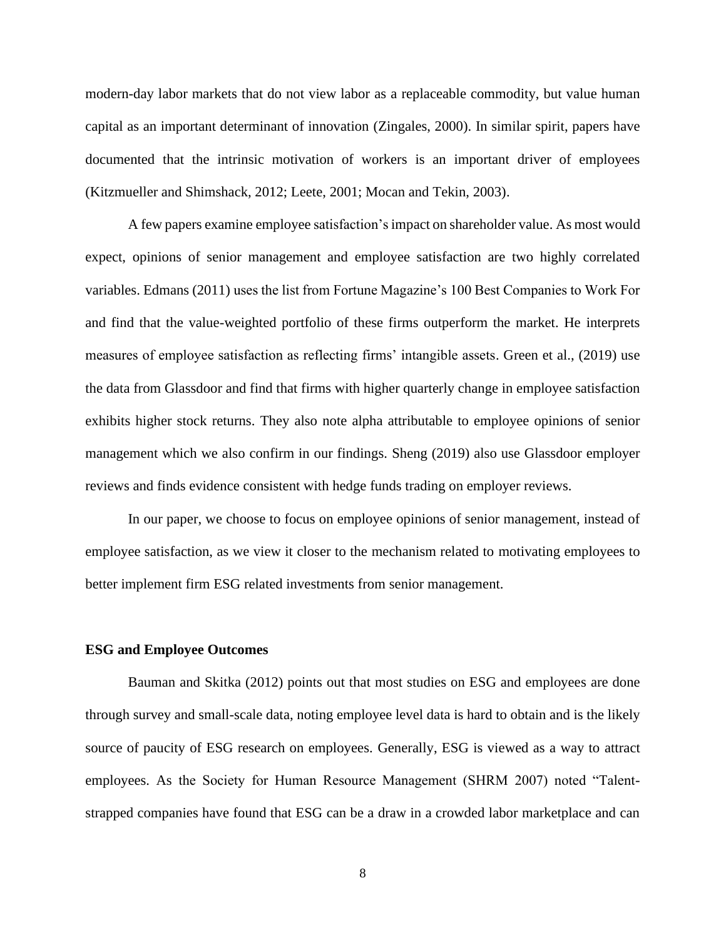modern-day labor markets that do not view labor as a replaceable commodity, but value human capital as an important determinant of innovation (Zingales, 2000). In similar spirit, papers have documented that the intrinsic motivation of workers is an important driver of employees (Kitzmueller and Shimshack, 2012; Leete, 2001; Mocan and Tekin, 2003).

A few papers examine employee satisfaction's impact on shareholder value. As most would expect, opinions of senior management and employee satisfaction are two highly correlated variables. Edmans (2011) uses the list from Fortune Magazine's 100 Best Companies to Work For and find that the value-weighted portfolio of these firms outperform the market. He interprets measures of employee satisfaction as reflecting firms' intangible assets. Green et al., (2019) use the data from Glassdoor and find that firms with higher quarterly change in employee satisfaction exhibits higher stock returns. They also note alpha attributable to employee opinions of senior management which we also confirm in our findings. Sheng (2019) also use Glassdoor employer reviews and finds evidence consistent with hedge funds trading on employer reviews.

In our paper, we choose to focus on employee opinions of senior management, instead of employee satisfaction, as we view it closer to the mechanism related to motivating employees to better implement firm ESG related investments from senior management.

### **ESG and Employee Outcomes**

Bauman and Skitka (2012) points out that most studies on ESG and employees are done through survey and small-scale data, noting employee level data is hard to obtain and is the likely source of paucity of ESG research on employees. Generally, ESG is viewed as a way to attract employees. As the Society for Human Resource Management (SHRM 2007) noted "Talentstrapped companies have found that ESG can be a draw in a crowded labor marketplace and can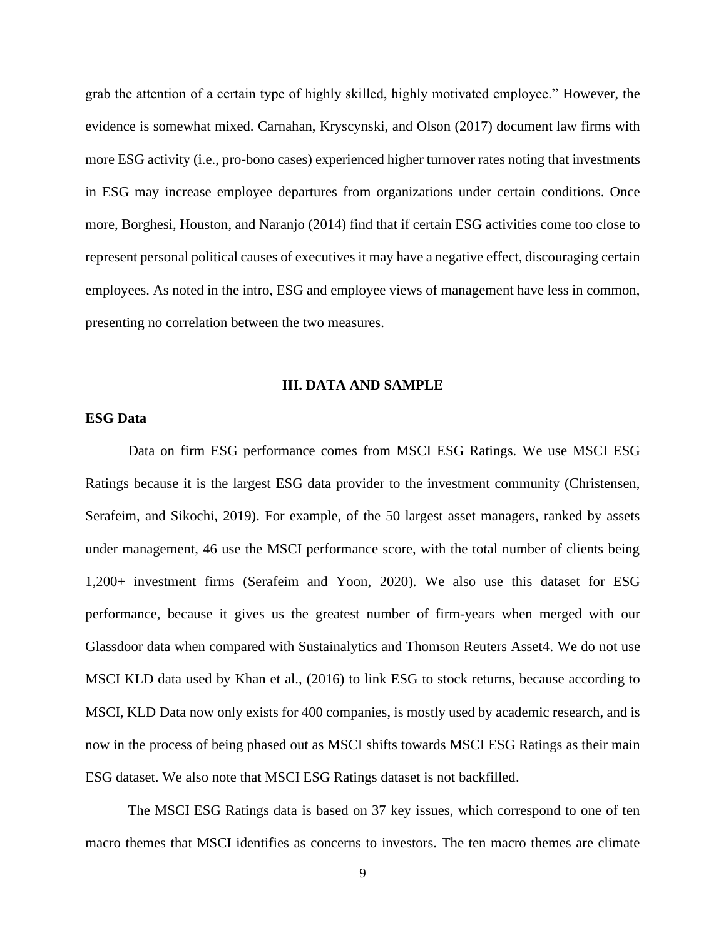grab the attention of a certain type of highly skilled, highly motivated employee." However, the evidence is somewhat mixed. Carnahan, Kryscynski, and Olson (2017) document law firms with more ESG activity (i.e., pro-bono cases) experienced higher turnover rates noting that investments in ESG may increase employee departures from organizations under certain conditions. Once more, Borghesi, Houston, and Naranjo (2014) find that if certain ESG activities come too close to represent personal political causes of executives it may have a negative effect, discouraging certain employees. As noted in the intro, ESG and employee views of management have less in common, presenting no correlation between the two measures.

## **III. DATA AND SAMPLE**

## **ESG Data**

Data on firm ESG performance comes from MSCI ESG Ratings. We use MSCI ESG Ratings because it is the largest ESG data provider to the investment community (Christensen, Serafeim, and Sikochi, 2019). For example, of the 50 largest asset managers, ranked by assets under management, 46 use the MSCI performance score, with the total number of clients being 1,200+ investment firms (Serafeim and Yoon, 2020). We also use this dataset for ESG performance, because it gives us the greatest number of firm-years when merged with our Glassdoor data when compared with Sustainalytics and Thomson Reuters Asset4. We do not use MSCI KLD data used by Khan et al., (2016) to link ESG to stock returns, because according to MSCI, KLD Data now only exists for 400 companies, is mostly used by academic research, and is now in the process of being phased out as MSCI shifts towards MSCI ESG Ratings as their main ESG dataset. We also note that MSCI ESG Ratings dataset is not backfilled.

The MSCI ESG Ratings data is based on 37 key issues, which correspond to one of ten macro themes that MSCI identifies as concerns to investors. The ten macro themes are climate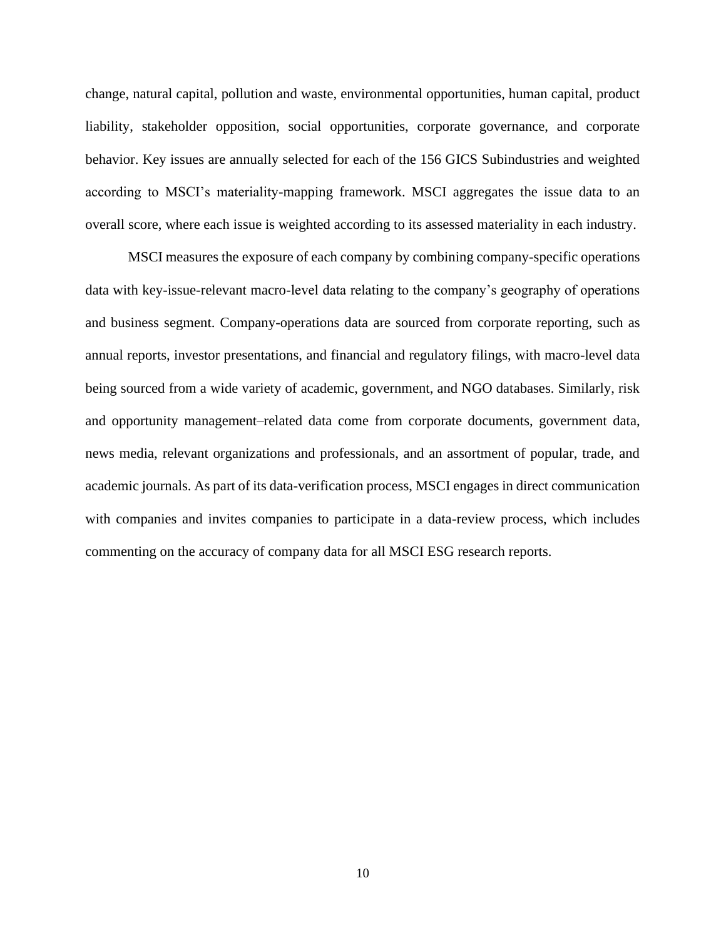change, natural capital, pollution and waste, environmental opportunities, human capital, product liability, stakeholder opposition, social opportunities, corporate governance, and corporate behavior. Key issues are annually selected for each of the 156 GICS Subindustries and weighted according to MSCI's materiality-mapping framework. MSCI aggregates the issue data to an overall score, where each issue is weighted according to its assessed materiality in each industry.

MSCI measures the exposure of each company by combining company-specific operations data with key-issue-relevant macro-level data relating to the company's geography of operations and business segment. Company-operations data are sourced from corporate reporting, such as annual reports, investor presentations, and financial and regulatory filings, with macro-level data being sourced from a wide variety of academic, government, and NGO databases. Similarly, risk and opportunity management–related data come from corporate documents, government data, news media, relevant organizations and professionals, and an assortment of popular, trade, and academic journals. As part of its data-verification process, MSCI engages in direct communication with companies and invites companies to participate in a data-review process, which includes commenting on the accuracy of company data for all MSCI ESG research reports.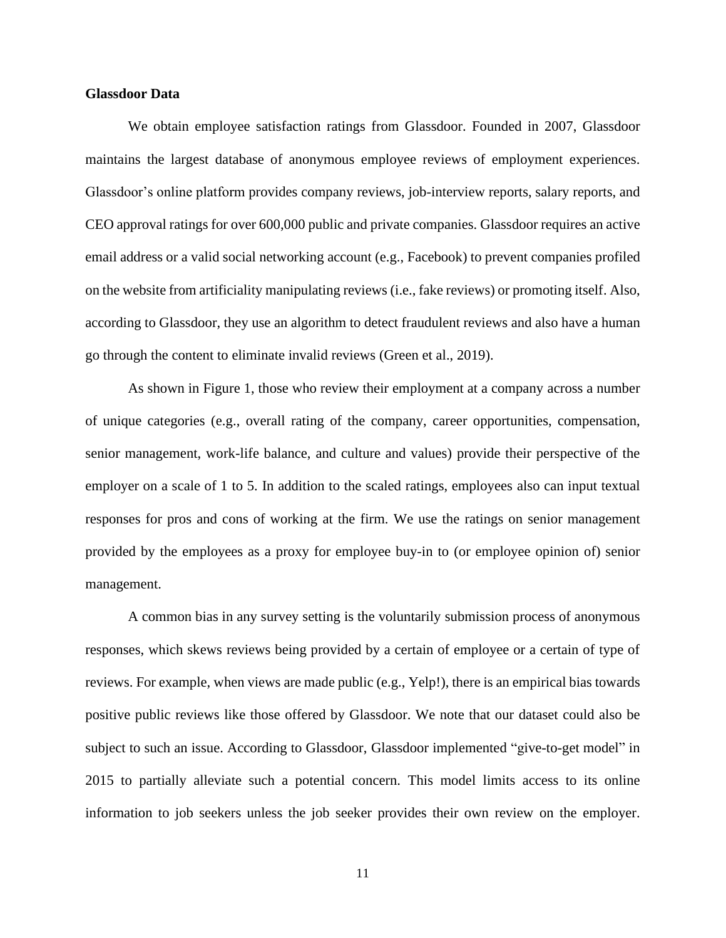## **Glassdoor Data**

We obtain employee satisfaction ratings from Glassdoor. Founded in 2007, Glassdoor maintains the largest database of anonymous employee reviews of employment experiences. Glassdoor's online platform provides company reviews, job-interview reports, salary reports, and CEO approval ratings for over 600,000 public and private companies. Glassdoor requires an active email address or a valid social networking account (e.g., Facebook) to prevent companies profiled on the website from artificiality manipulating reviews (i.e., fake reviews) or promoting itself. Also, according to Glassdoor, they use an algorithm to detect fraudulent reviews and also have a human go through the content to eliminate invalid reviews (Green et al., 2019).

As shown in Figure 1, those who review their employment at a company across a number of unique categories (e.g., overall rating of the company, career opportunities, compensation, senior management, work-life balance, and culture and values) provide their perspective of the employer on a scale of 1 to 5. In addition to the scaled ratings, employees also can input textual responses for pros and cons of working at the firm. We use the ratings on senior management provided by the employees as a proxy for employee buy-in to (or employee opinion of) senior management.

A common bias in any survey setting is the voluntarily submission process of anonymous responses, which skews reviews being provided by a certain of employee or a certain of type of reviews. For example, when views are made public (e.g., Yelp!), there is an empirical bias towards positive public reviews like those offered by Glassdoor. We note that our dataset could also be subject to such an issue. According to Glassdoor, Glassdoor implemented "give-to-get model" in 2015 to partially alleviate such a potential concern. This model limits access to its online information to job seekers unless the job seeker provides their own review on the employer.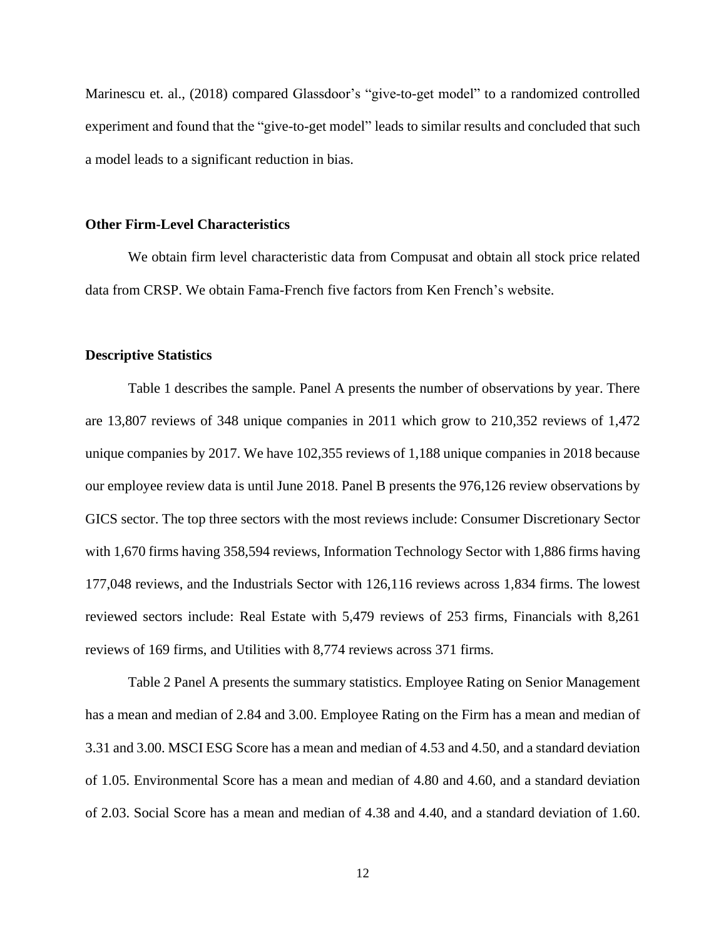Marinescu et. al., (2018) compared Glassdoor's "give-to-get model" to a randomized controlled experiment and found that the "give-to-get model" leads to similar results and concluded that such a model leads to a significant reduction in bias.

### **Other Firm-Level Characteristics**

We obtain firm level characteristic data from Compusat and obtain all stock price related data from CRSP. We obtain Fama-French five factors from Ken French's website.

### **Descriptive Statistics**

Table 1 describes the sample. Panel A presents the number of observations by year. There are 13,807 reviews of 348 unique companies in 2011 which grow to 210,352 reviews of 1,472 unique companies by 2017. We have 102,355 reviews of 1,188 unique companies in 2018 because our employee review data is until June 2018. Panel B presents the 976,126 review observations by GICS sector. The top three sectors with the most reviews include: Consumer Discretionary Sector with 1,670 firms having 358,594 reviews, Information Technology Sector with 1,886 firms having 177,048 reviews, and the Industrials Sector with 126,116 reviews across 1,834 firms. The lowest reviewed sectors include: Real Estate with 5,479 reviews of 253 firms, Financials with 8,261 reviews of 169 firms, and Utilities with 8,774 reviews across 371 firms.

Table 2 Panel A presents the summary statistics. Employee Rating on Senior Management has a mean and median of 2.84 and 3.00. Employee Rating on the Firm has a mean and median of 3.31 and 3.00. MSCI ESG Score has a mean and median of 4.53 and 4.50, and a standard deviation of 1.05. Environmental Score has a mean and median of 4.80 and 4.60, and a standard deviation of 2.03. Social Score has a mean and median of 4.38 and 4.40, and a standard deviation of 1.60.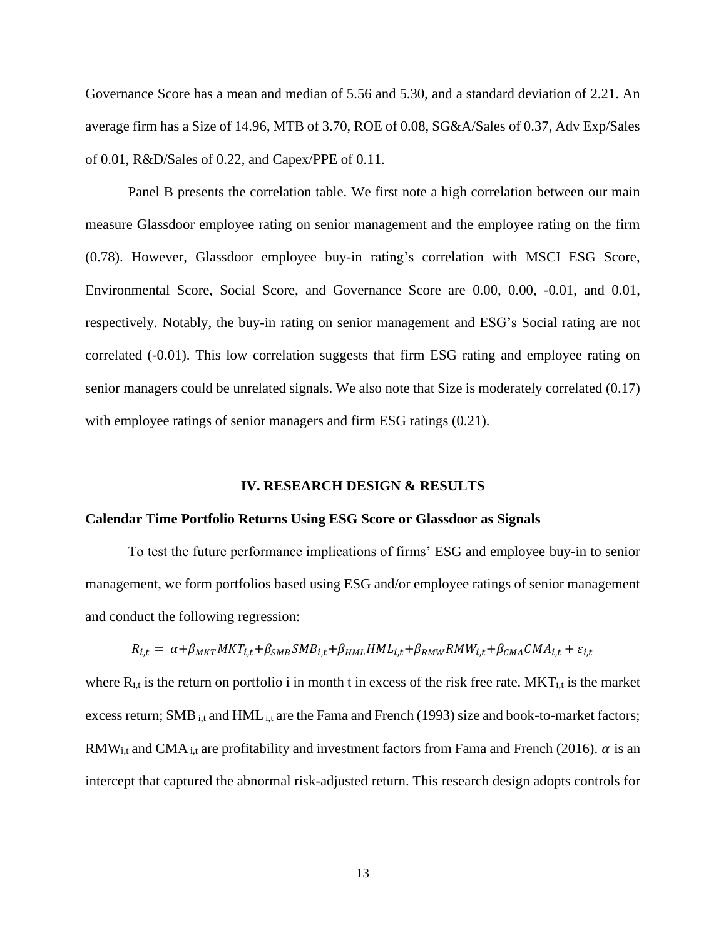Governance Score has a mean and median of 5.56 and 5.30, and a standard deviation of 2.21. An average firm has a Size of 14.96, MTB of 3.70, ROE of 0.08, SG&A/Sales of 0.37, Adv Exp/Sales of 0.01, R&D/Sales of 0.22, and Capex/PPE of 0.11.

Panel B presents the correlation table. We first note a high correlation between our main measure Glassdoor employee rating on senior management and the employee rating on the firm (0.78). However, Glassdoor employee buy-in rating's correlation with MSCI ESG Score, Environmental Score, Social Score, and Governance Score are 0.00, 0.00, -0.01, and 0.01, respectively. Notably, the buy-in rating on senior management and ESG's Social rating are not correlated (-0.01). This low correlation suggests that firm ESG rating and employee rating on senior managers could be unrelated signals. We also note that Size is moderately correlated (0.17) with employee ratings of senior managers and firm ESG ratings  $(0.21)$ .

## **IV. RESEARCH DESIGN & RESULTS**

#### **Calendar Time Portfolio Returns Using ESG Score or Glassdoor as Signals**

To test the future performance implications of firms' ESG and employee buy-in to senior management, we form portfolios based using ESG and/or employee ratings of senior management and conduct the following regression:

$$
R_{i,t} = \alpha + \beta_{MKT} MKT_{i,t} + \beta_{SMB} SMB_{i,t} + \beta_{HML} HML_{i,t} + \beta_{RMW} RMW_{i,t} + \beta_{CMA} CMA_{i,t} + \varepsilon_{i,t}
$$

where  $R_{i,t}$  is the return on portfolio i in month t in excess of the risk free rate. MKT<sub>i,t</sub> is the market excess return; SMB  $_{i,t}$  and HML  $_{i,t}$  are the Fama and French (1993) size and book-to-market factors; RMW<sub>i,t</sub> and CMA<sub>i,t</sub> are profitability and investment factors from Fama and French (2016).  $\alpha$  is an intercept that captured the abnormal risk-adjusted return. This research design adopts controls for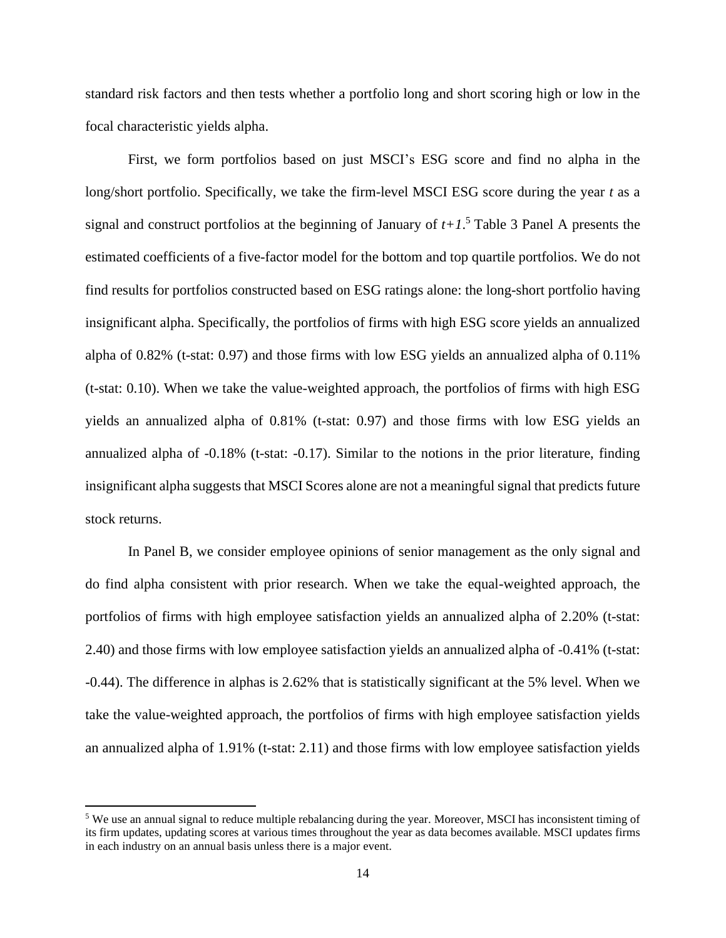standard risk factors and then tests whether a portfolio long and short scoring high or low in the focal characteristic yields alpha.

First, we form portfolios based on just MSCI's ESG score and find no alpha in the long/short portfolio. Specifically, we take the firm-level MSCI ESG score during the year *t* as a signal and construct portfolios at the beginning of January of  $t+1$ <sup>5</sup> Table 3 Panel A presents the estimated coefficients of a five-factor model for the bottom and top quartile portfolios. We do not find results for portfolios constructed based on ESG ratings alone: the long-short portfolio having insignificant alpha. Specifically, the portfolios of firms with high ESG score yields an annualized alpha of 0.82% (t-stat: 0.97) and those firms with low ESG yields an annualized alpha of 0.11% (t-stat: 0.10). When we take the value-weighted approach, the portfolios of firms with high ESG yields an annualized alpha of 0.81% (t-stat: 0.97) and those firms with low ESG yields an annualized alpha of -0.18% (t-stat: -0.17). Similar to the notions in the prior literature, finding insignificant alpha suggests that MSCI Scores alone are not a meaningful signal that predicts future stock returns.

In Panel B, we consider employee opinions of senior management as the only signal and do find alpha consistent with prior research. When we take the equal-weighted approach, the portfolios of firms with high employee satisfaction yields an annualized alpha of 2.20% (t-stat: 2.40) and those firms with low employee satisfaction yields an annualized alpha of -0.41% (t-stat: -0.44). The difference in alphas is 2.62% that is statistically significant at the 5% level. When we take the value-weighted approach, the portfolios of firms with high employee satisfaction yields an annualized alpha of 1.91% (t-stat: 2.11) and those firms with low employee satisfaction yields

<sup>5</sup> We use an annual signal to reduce multiple rebalancing during the year. Moreover, MSCI has inconsistent timing of its firm updates, updating scores at various times throughout the year as data becomes available. MSCI updates firms in each industry on an annual basis unless there is a major event.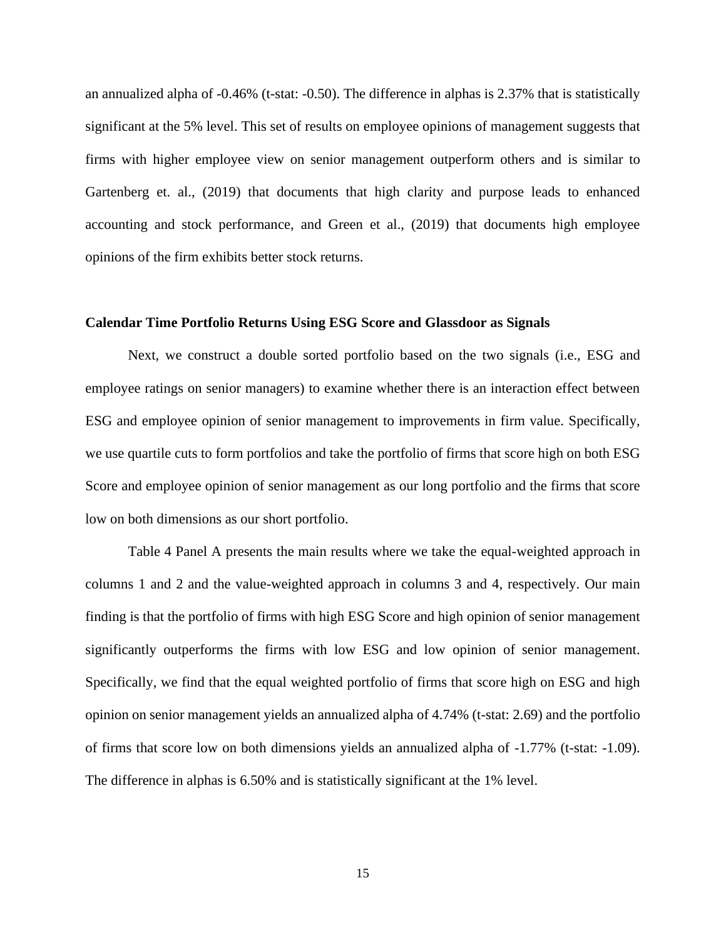an annualized alpha of -0.46% (t-stat: -0.50). The difference in alphas is 2.37% that is statistically significant at the 5% level. This set of results on employee opinions of management suggests that firms with higher employee view on senior management outperform others and is similar to Gartenberg et. al., (2019) that documents that high clarity and purpose leads to enhanced accounting and stock performance, and Green et al., (2019) that documents high employee opinions of the firm exhibits better stock returns.

## **Calendar Time Portfolio Returns Using ESG Score and Glassdoor as Signals**

Next, we construct a double sorted portfolio based on the two signals (i.e., ESG and employee ratings on senior managers) to examine whether there is an interaction effect between ESG and employee opinion of senior management to improvements in firm value. Specifically, we use quartile cuts to form portfolios and take the portfolio of firms that score high on both ESG Score and employee opinion of senior management as our long portfolio and the firms that score low on both dimensions as our short portfolio.

Table 4 Panel A presents the main results where we take the equal-weighted approach in columns 1 and 2 and the value-weighted approach in columns 3 and 4, respectively. Our main finding is that the portfolio of firms with high ESG Score and high opinion of senior management significantly outperforms the firms with low ESG and low opinion of senior management. Specifically, we find that the equal weighted portfolio of firms that score high on ESG and high opinion on senior management yields an annualized alpha of 4.74% (t-stat: 2.69) and the portfolio of firms that score low on both dimensions yields an annualized alpha of -1.77% (t-stat: -1.09). The difference in alphas is 6.50% and is statistically significant at the 1% level.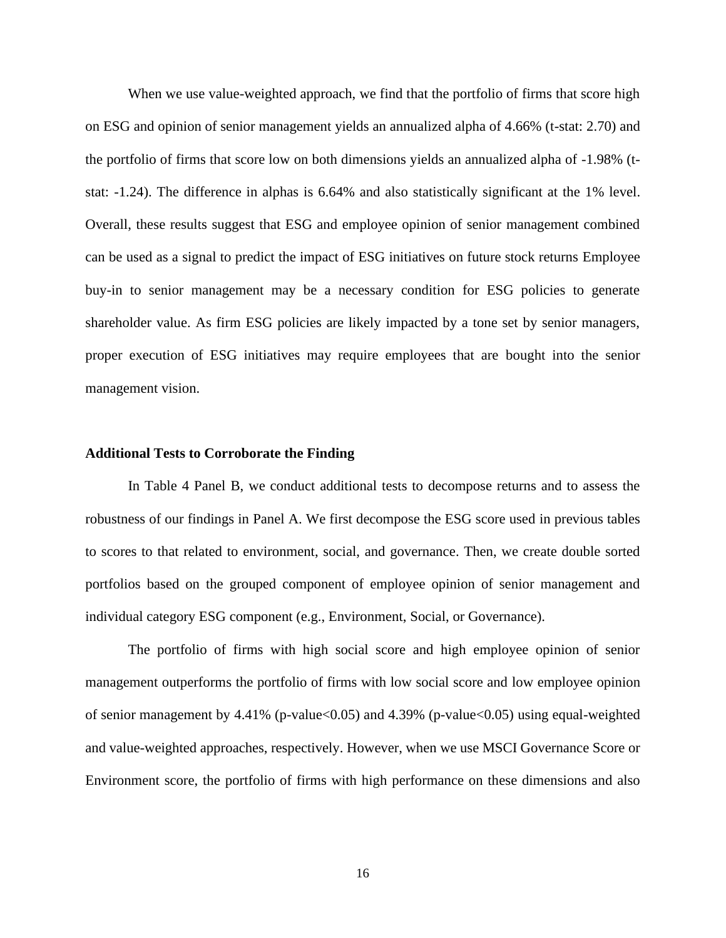When we use value-weighted approach, we find that the portfolio of firms that score high on ESG and opinion of senior management yields an annualized alpha of 4.66% (t-stat: 2.70) and the portfolio of firms that score low on both dimensions yields an annualized alpha of -1.98% (tstat: -1.24). The difference in alphas is 6.64% and also statistically significant at the 1% level. Overall, these results suggest that ESG and employee opinion of senior management combined can be used as a signal to predict the impact of ESG initiatives on future stock returns Employee buy-in to senior management may be a necessary condition for ESG policies to generate shareholder value. As firm ESG policies are likely impacted by a tone set by senior managers, proper execution of ESG initiatives may require employees that are bought into the senior management vision.

### **Additional Tests to Corroborate the Finding**

In Table 4 Panel B, we conduct additional tests to decompose returns and to assess the robustness of our findings in Panel A. We first decompose the ESG score used in previous tables to scores to that related to environment, social, and governance. Then, we create double sorted portfolios based on the grouped component of employee opinion of senior management and individual category ESG component (e.g., Environment, Social, or Governance).

The portfolio of firms with high social score and high employee opinion of senior management outperforms the portfolio of firms with low social score and low employee opinion of senior management by  $4.41\%$  (p-value $< 0.05$ ) and  $4.39\%$  (p-value $< 0.05$ ) using equal-weighted and value-weighted approaches, respectively. However, when we use MSCI Governance Score or Environment score, the portfolio of firms with high performance on these dimensions and also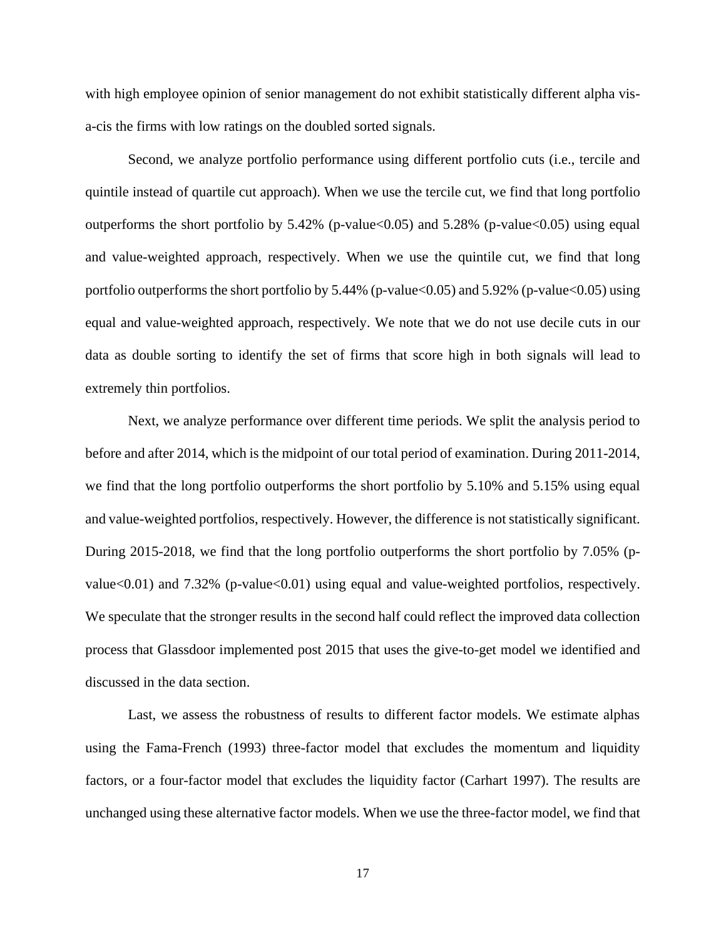with high employee opinion of senior management do not exhibit statistically different alpha visa-cis the firms with low ratings on the doubled sorted signals.

Second, we analyze portfolio performance using different portfolio cuts (i.e., tercile and quintile instead of quartile cut approach). When we use the tercile cut, we find that long portfolio outperforms the short portfolio by  $5.42\%$  (p-value  $0.05$ ) and  $5.28\%$  (p-value  $0.05$ ) using equal and value-weighted approach, respectively. When we use the quintile cut, we find that long portfolio outperforms the short portfolio by  $5.44\%$  (p-value $<0.05$ ) and  $5.92\%$  (p-value $<0.05$ ) using equal and value-weighted approach, respectively. We note that we do not use decile cuts in our data as double sorting to identify the set of firms that score high in both signals will lead to extremely thin portfolios.

Next, we analyze performance over different time periods. We split the analysis period to before and after 2014, which is the midpoint of our total period of examination. During 2011-2014, we find that the long portfolio outperforms the short portfolio by 5.10% and 5.15% using equal and value-weighted portfolios, respectively. However, the difference is not statistically significant. During 2015-2018, we find that the long portfolio outperforms the short portfolio by 7.05% (pvalue $\leq 0.01$ ) and 7.32% (p-value $\leq 0.01$ ) using equal and value-weighted portfolios, respectively. We speculate that the stronger results in the second half could reflect the improved data collection process that Glassdoor implemented post 2015 that uses the give-to-get model we identified and discussed in the data section.

Last, we assess the robustness of results to different factor models. We estimate alphas using the Fama-French (1993) three-factor model that excludes the momentum and liquidity factors, or a four-factor model that excludes the liquidity factor (Carhart 1997). The results are unchanged using these alternative factor models. When we use the three-factor model, we find that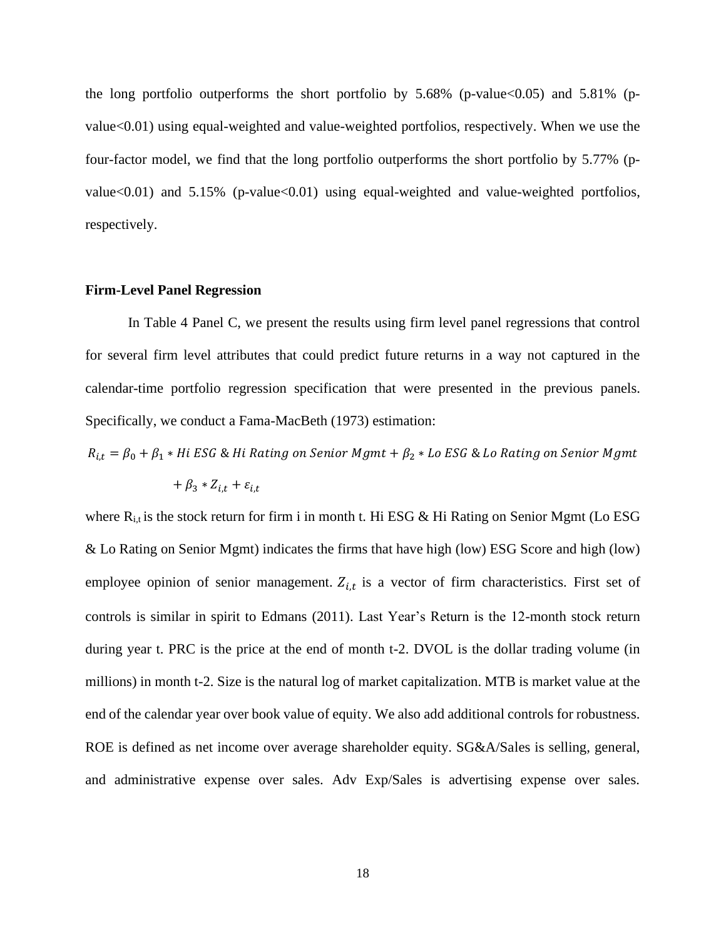the long portfolio outperforms the short portfolio by  $5.68\%$  (p-value $<0.05$ ) and  $5.81\%$  (pvalue<0.01) using equal-weighted and value-weighted portfolios, respectively. When we use the four-factor model, we find that the long portfolio outperforms the short portfolio by 5.77% (pvalue $<0.01$ ) and 5.15% (p-value $<0.01$ ) using equal-weighted and value-weighted portfolios, respectively.

### **Firm-Level Panel Regression**

In Table 4 Panel C, we present the results using firm level panel regressions that control for several firm level attributes that could predict future returns in a way not captured in the calendar-time portfolio regression specification that were presented in the previous panels. Specifically, we conduct a Fama-MacBeth (1973) estimation:

 $R_{i,t}=\beta_0+\beta_1 * Hi$  ESG & Hi Rating on Senior Mgmt +  $\beta_2 * Lo$  ESG & Lo Rating on Senior Mgmt

$$
+\beta_3 * Z_{i,t} + \varepsilon_{i,t}
$$

where  $R_{i,t}$  is the stock return for firm i in month t. Hi ESG & Hi Rating on Senior Mgmt (Lo ESG & Lo Rating on Senior Mgmt) indicates the firms that have high (low) ESG Score and high (low) employee opinion of senior management.  $Z_{i,t}$  is a vector of firm characteristics. First set of controls is similar in spirit to Edmans (2011). Last Year's Return is the 12-month stock return during year t. PRC is the price at the end of month t-2. DVOL is the dollar trading volume (in millions) in month t-2. Size is the natural log of market capitalization. MTB is market value at the end of the calendar year over book value of equity. We also add additional controls for robustness. ROE is defined as net income over average shareholder equity. SG&A/Sales is selling, general, and administrative expense over sales. Adv Exp/Sales is advertising expense over sales.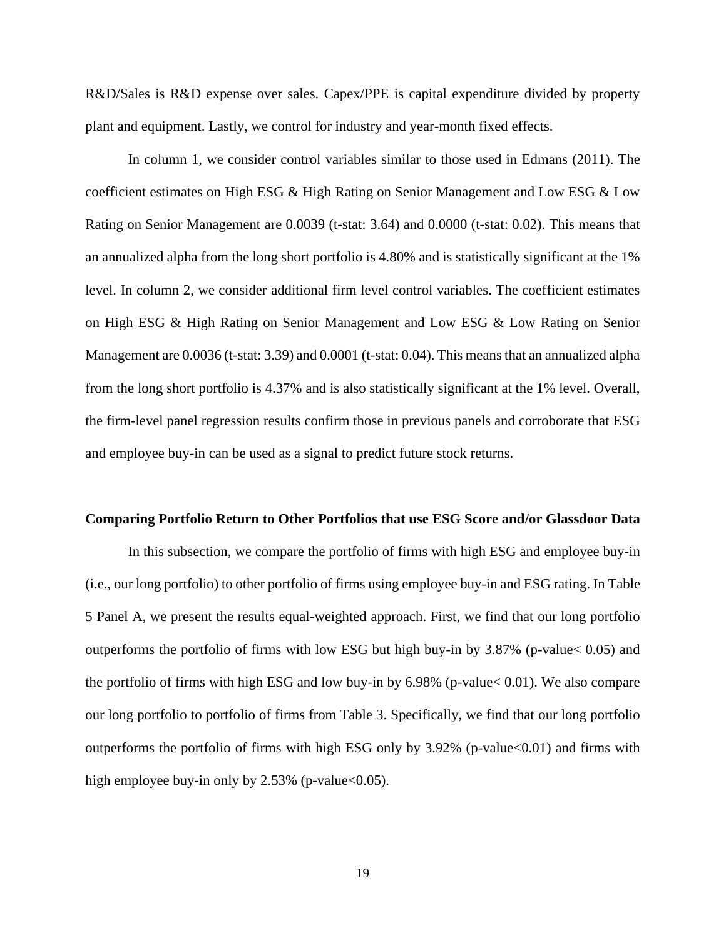R&D/Sales is R&D expense over sales. Capex/PPE is capital expenditure divided by property plant and equipment. Lastly, we control for industry and year-month fixed effects.

In column 1, we consider control variables similar to those used in Edmans (2011). The coefficient estimates on High ESG & High Rating on Senior Management and Low ESG & Low Rating on Senior Management are 0.0039 (t-stat: 3.64) and 0.0000 (t-stat: 0.02). This means that an annualized alpha from the long short portfolio is 4.80% and is statistically significant at the 1% level. In column 2, we consider additional firm level control variables. The coefficient estimates on High ESG & High Rating on Senior Management and Low ESG & Low Rating on Senior Management are 0.0036 (t-stat: 3.39) and 0.0001 (t-stat: 0.04). This means that an annualized alpha from the long short portfolio is 4.37% and is also statistically significant at the 1% level. Overall, the firm-level panel regression results confirm those in previous panels and corroborate that ESG and employee buy-in can be used as a signal to predict future stock returns.

#### **Comparing Portfolio Return to Other Portfolios that use ESG Score and/or Glassdoor Data**

In this subsection, we compare the portfolio of firms with high ESG and employee buy-in (i.e., our long portfolio) to other portfolio of firms using employee buy-in and ESG rating. In Table 5 Panel A, we present the results equal-weighted approach. First, we find that our long portfolio outperforms the portfolio of firms with low ESG but high buy-in by 3.87% (p-value< 0.05) and the portfolio of firms with high ESG and low buy-in by 6.98% (p-value< 0.01). We also compare our long portfolio to portfolio of firms from Table 3. Specifically, we find that our long portfolio outperforms the portfolio of firms with high ESG only by  $3.92\%$  (p-value $<0.01$ ) and firms with high employee buy-in only by  $2.53\%$  (p-value  $< 0.05$ ).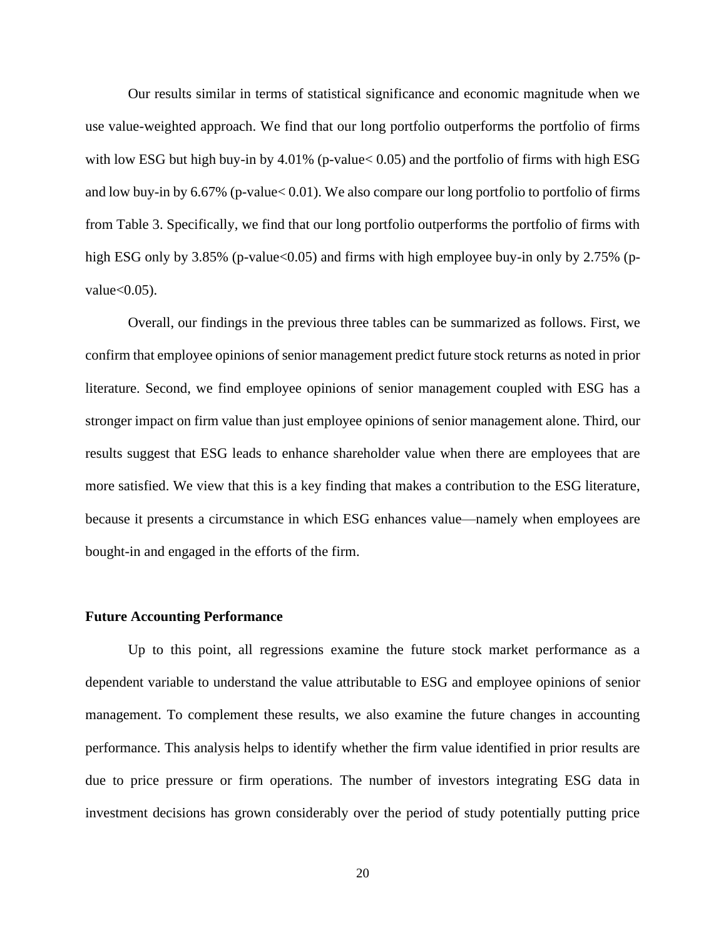Our results similar in terms of statistical significance and economic magnitude when we use value-weighted approach. We find that our long portfolio outperforms the portfolio of firms with low ESG but high buy-in by  $4.01\%$  (p-value  $< 0.05$ ) and the portfolio of firms with high ESG and low buy-in by 6.67% (p-value< 0.01). We also compare our long portfolio to portfolio of firms from Table 3. Specifically, we find that our long portfolio outperforms the portfolio of firms with high ESG only by  $3.85\%$  (p-value<0.05) and firms with high employee buy-in only by 2.75% (pvalue $<0.05$ ).

Overall, our findings in the previous three tables can be summarized as follows. First, we confirm that employee opinions of senior management predict future stock returns as noted in prior literature. Second, we find employee opinions of senior management coupled with ESG has a stronger impact on firm value than just employee opinions of senior management alone. Third, our results suggest that ESG leads to enhance shareholder value when there are employees that are more satisfied. We view that this is a key finding that makes a contribution to the ESG literature, because it presents a circumstance in which ESG enhances value—namely when employees are bought-in and engaged in the efforts of the firm.

#### **Future Accounting Performance**

Up to this point, all regressions examine the future stock market performance as a dependent variable to understand the value attributable to ESG and employee opinions of senior management. To complement these results, we also examine the future changes in accounting performance. This analysis helps to identify whether the firm value identified in prior results are due to price pressure or firm operations. The number of investors integrating ESG data in investment decisions has grown considerably over the period of study potentially putting price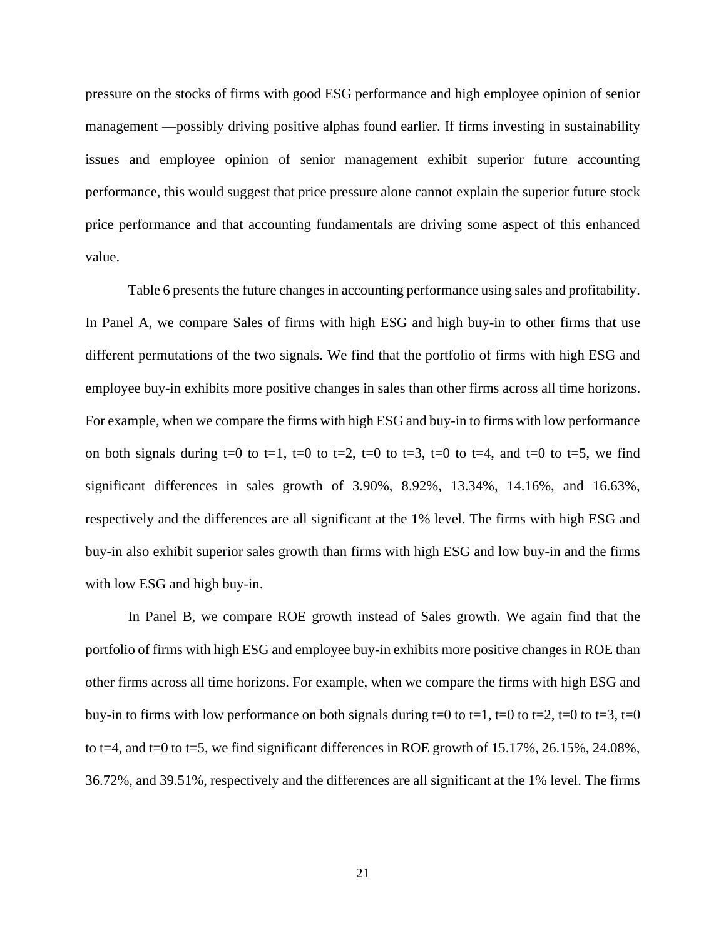pressure on the stocks of firms with good ESG performance and high employee opinion of senior management —possibly driving positive alphas found earlier. If firms investing in sustainability issues and employee opinion of senior management exhibit superior future accounting performance, this would suggest that price pressure alone cannot explain the superior future stock price performance and that accounting fundamentals are driving some aspect of this enhanced value.

Table 6 presents the future changes in accounting performance using sales and profitability. In Panel A, we compare Sales of firms with high ESG and high buy-in to other firms that use different permutations of the two signals. We find that the portfolio of firms with high ESG and employee buy-in exhibits more positive changes in sales than other firms across all time horizons. For example, when we compare the firms with high ESG and buy-in to firms with low performance on both signals during  $t=0$  to  $t=1$ ,  $t=0$  to  $t=2$ ,  $t=0$  to  $t=3$ ,  $t=0$  to  $t=4$ , and  $t=0$  to  $t=5$ , we find significant differences in sales growth of 3.90%, 8.92%, 13.34%, 14.16%, and 16.63%, respectively and the differences are all significant at the 1% level. The firms with high ESG and buy-in also exhibit superior sales growth than firms with high ESG and low buy-in and the firms with low ESG and high buy-in.

In Panel B, we compare ROE growth instead of Sales growth. We again find that the portfolio of firms with high ESG and employee buy-in exhibits more positive changes in ROE than other firms across all time horizons. For example, when we compare the firms with high ESG and buy-in to firms with low performance on both signals during t=0 to t=1, t=0 to t=2, t=0 to t=3, t=0 to t=4, and t=0 to t=5, we find significant differences in ROE growth of 15.17%, 26.15%, 24.08%, 36.72%, and 39.51%, respectively and the differences are all significant at the 1% level. The firms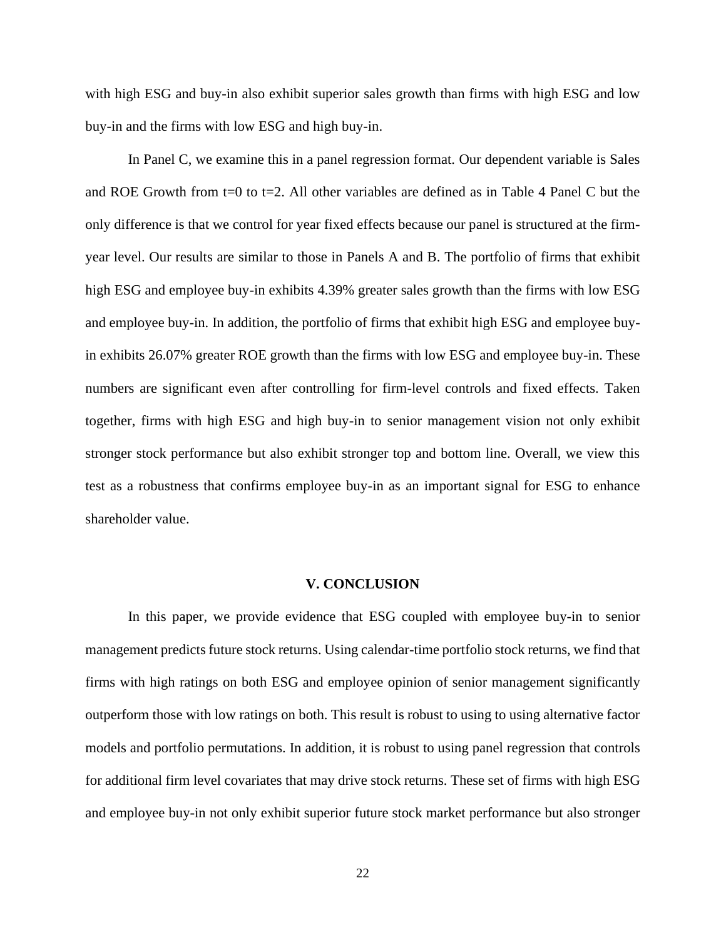with high ESG and buy-in also exhibit superior sales growth than firms with high ESG and low buy-in and the firms with low ESG and high buy-in.

In Panel C, we examine this in a panel regression format. Our dependent variable is Sales and ROE Growth from  $t=0$  to  $t=2$ . All other variables are defined as in Table 4 Panel C but the only difference is that we control for year fixed effects because our panel is structured at the firmyear level. Our results are similar to those in Panels A and B. The portfolio of firms that exhibit high ESG and employee buy-in exhibits 4.39% greater sales growth than the firms with low ESG and employee buy-in. In addition, the portfolio of firms that exhibit high ESG and employee buyin exhibits 26.07% greater ROE growth than the firms with low ESG and employee buy-in. These numbers are significant even after controlling for firm-level controls and fixed effects. Taken together, firms with high ESG and high buy-in to senior management vision not only exhibit stronger stock performance but also exhibit stronger top and bottom line. Overall, we view this test as a robustness that confirms employee buy-in as an important signal for ESG to enhance shareholder value.

#### **V. CONCLUSION**

In this paper, we provide evidence that ESG coupled with employee buy-in to senior management predicts future stock returns. Using calendar-time portfolio stock returns, we find that firms with high ratings on both ESG and employee opinion of senior management significantly outperform those with low ratings on both. This result is robust to using to using alternative factor models and portfolio permutations. In addition, it is robust to using panel regression that controls for additional firm level covariates that may drive stock returns. These set of firms with high ESG and employee buy-in not only exhibit superior future stock market performance but also stronger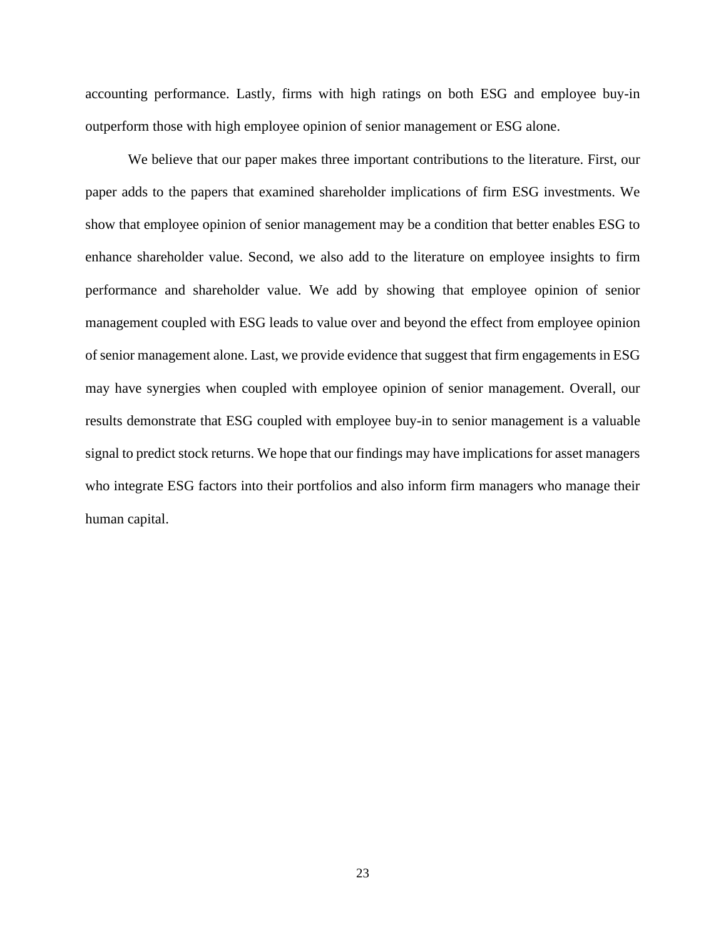accounting performance. Lastly, firms with high ratings on both ESG and employee buy-in outperform those with high employee opinion of senior management or ESG alone.

We believe that our paper makes three important contributions to the literature. First, our paper adds to the papers that examined shareholder implications of firm ESG investments. We show that employee opinion of senior management may be a condition that better enables ESG to enhance shareholder value. Second, we also add to the literature on employee insights to firm performance and shareholder value. We add by showing that employee opinion of senior management coupled with ESG leads to value over and beyond the effect from employee opinion of senior management alone. Last, we provide evidence that suggest that firm engagements in ESG may have synergies when coupled with employee opinion of senior management. Overall, our results demonstrate that ESG coupled with employee buy-in to senior management is a valuable signal to predict stock returns. We hope that our findings may have implications for asset managers who integrate ESG factors into their portfolios and also inform firm managers who manage their human capital.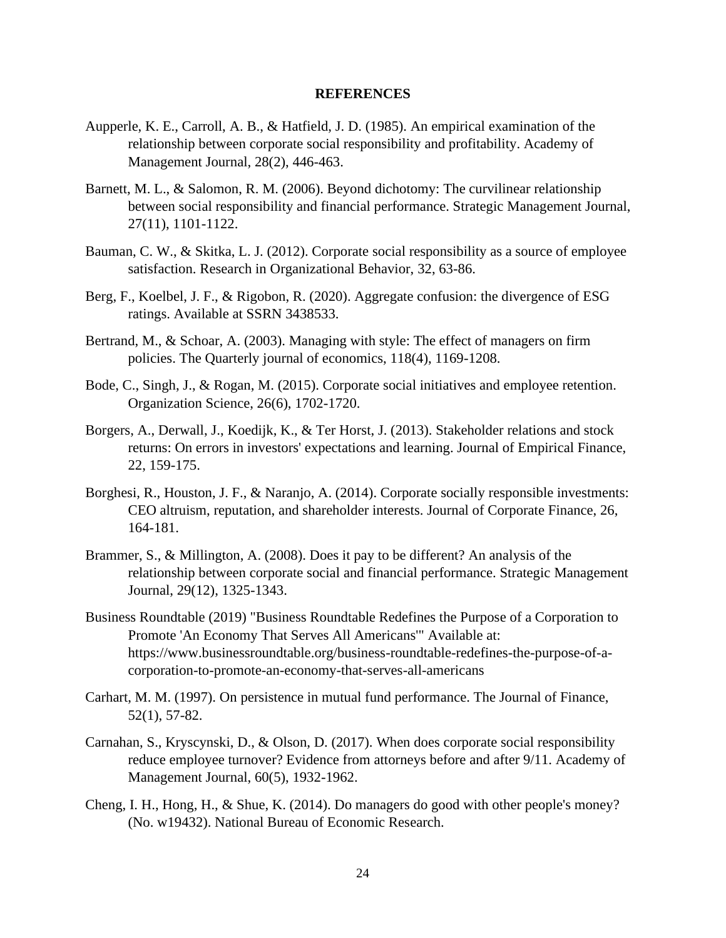## **REFERENCES**

- Aupperle, K. E., Carroll, A. B., & Hatfield, J. D. (1985). An empirical examination of the relationship between corporate social responsibility and profitability. Academy of Management Journal, 28(2), 446-463.
- Barnett, M. L., & Salomon, R. M. (2006). Beyond dichotomy: The curvilinear relationship between social responsibility and financial performance. Strategic Management Journal, 27(11), 1101-1122.
- Bauman, C. W., & Skitka, L. J. (2012). Corporate social responsibility as a source of employee satisfaction. Research in Organizational Behavior, 32, 63-86.
- Berg, F., Koelbel, J. F., & Rigobon, R. (2020). Aggregate confusion: the divergence of ESG ratings. Available at SSRN 3438533.
- Bertrand, M., & Schoar, A. (2003). Managing with style: The effect of managers on firm policies. The Quarterly journal of economics, 118(4), 1169-1208.
- Bode, C., Singh, J., & Rogan, M. (2015). Corporate social initiatives and employee retention. Organization Science, 26(6), 1702-1720.
- Borgers, A., Derwall, J., Koedijk, K., & Ter Horst, J. (2013). Stakeholder relations and stock returns: On errors in investors' expectations and learning. Journal of Empirical Finance, 22, 159-175.
- Borghesi, R., Houston, J. F., & Naranjo, A. (2014). Corporate socially responsible investments: CEO altruism, reputation, and shareholder interests. Journal of Corporate Finance, 26, 164-181.
- Brammer, S., & Millington, A. (2008). Does it pay to be different? An analysis of the relationship between corporate social and financial performance. Strategic Management Journal, 29(12), 1325-1343.
- Business Roundtable (2019) "Business Roundtable Redefines the Purpose of a Corporation to Promote 'An Economy That Serves All Americans'" Available at: https://www.businessroundtable.org/business-roundtable-redefines-the-purpose-of-acorporation-to-promote-an-economy-that-serves-all-americans
- Carhart, M. M. (1997). On persistence in mutual fund performance. The Journal of Finance, 52(1), 57-82.
- Carnahan, S., Kryscynski, D., & Olson, D. (2017). When does corporate social responsibility reduce employee turnover? Evidence from attorneys before and after 9/11. Academy of Management Journal, 60(5), 1932-1962.
- Cheng, I. H., Hong, H., & Shue, K. (2014). Do managers do good with other people's money? (No. w19432). National Bureau of Economic Research.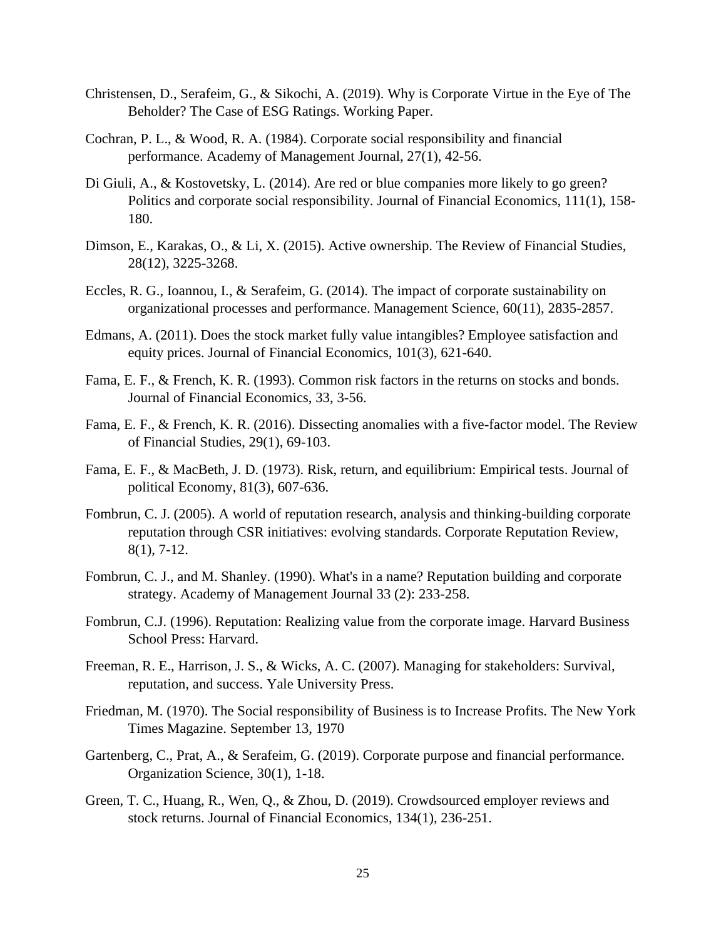- Christensen, D., Serafeim, G., & Sikochi, A. (2019). Why is Corporate Virtue in the Eye of The Beholder? The Case of ESG Ratings. Working Paper.
- Cochran, P. L., & Wood, R. A. (1984). Corporate social responsibility and financial performance. Academy of Management Journal, 27(1), 42-56.
- Di Giuli, A., & Kostovetsky, L. (2014). Are red or blue companies more likely to go green? Politics and corporate social responsibility. Journal of Financial Economics, 111(1), 158- 180.
- Dimson, E., Karakas, O., & Li, X. (2015). Active ownership. The Review of Financial Studies, 28(12), 3225-3268.
- Eccles, R. G., Ioannou, I., & Serafeim, G. (2014). The impact of corporate sustainability on organizational processes and performance. Management Science, 60(11), 2835-2857.
- Edmans, A. (2011). Does the stock market fully value intangibles? Employee satisfaction and equity prices. Journal of Financial Economics, 101(3), 621-640.
- Fama, E. F., & French, K. R. (1993). Common risk factors in the returns on stocks and bonds. Journal of Financial Economics, 33, 3-56.
- Fama, E. F., & French, K. R. (2016). Dissecting anomalies with a five-factor model. The Review of Financial Studies, 29(1), 69-103.
- Fama, E. F., & MacBeth, J. D. (1973). Risk, return, and equilibrium: Empirical tests. Journal of political Economy, 81(3), 607-636.
- Fombrun, C. J. (2005). A world of reputation research, analysis and thinking-building corporate reputation through CSR initiatives: evolving standards. Corporate Reputation Review, 8(1), 7-12.
- Fombrun, C. J., and M. Shanley. (1990). What's in a name? Reputation building and corporate strategy. Academy of Management Journal 33 (2): 233-258.
- Fombrun, C.J. (1996). Reputation: Realizing value from the corporate image. Harvard Business School Press: Harvard.
- Freeman, R. E., Harrison, J. S., & Wicks, A. C. (2007). Managing for stakeholders: Survival, reputation, and success. Yale University Press.
- Friedman, M. (1970). The Social responsibility of Business is to Increase Profits. The New York Times Magazine. September 13, 1970
- Gartenberg, C., Prat, A., & Serafeim, G. (2019). Corporate purpose and financial performance. Organization Science, 30(1), 1-18.
- Green, T. C., Huang, R., Wen, Q., & Zhou, D. (2019). Crowdsourced employer reviews and stock returns. Journal of Financial Economics, 134(1), 236-251.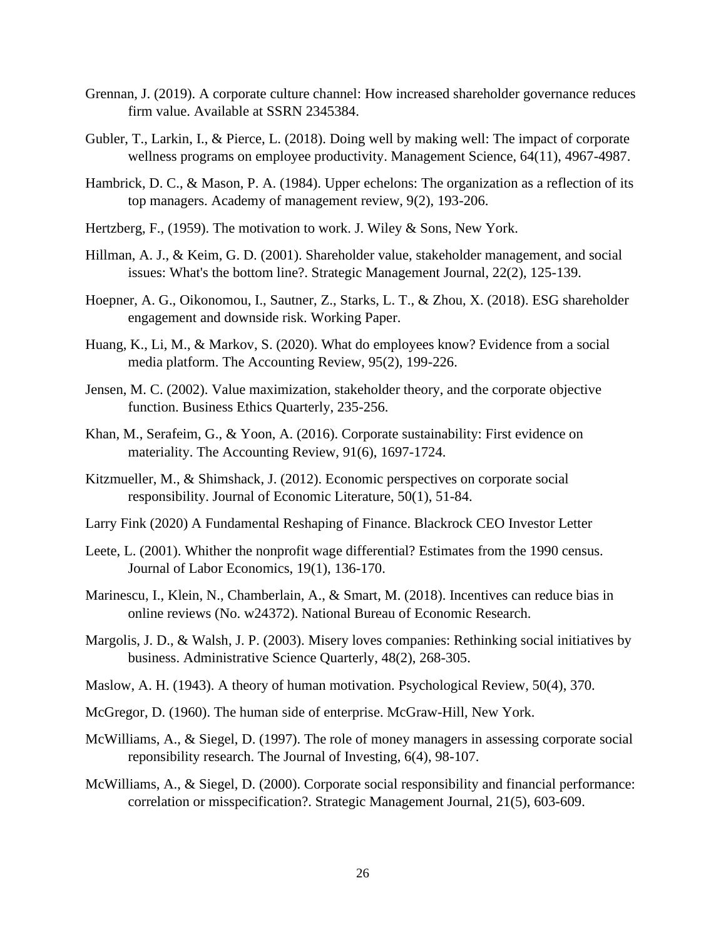- Grennan, J. (2019). A corporate culture channel: How increased shareholder governance reduces firm value. Available at SSRN 2345384.
- Gubler, T., Larkin, I., & Pierce, L. (2018). Doing well by making well: The impact of corporate wellness programs on employee productivity. Management Science, 64(11), 4967-4987.
- Hambrick, D. C., & Mason, P. A. (1984). Upper echelons: The organization as a reflection of its top managers. Academy of management review, 9(2), 193-206.
- Hertzberg, F., (1959). The motivation to work. J. Wiley & Sons, New York.
- Hillman, A. J., & Keim, G. D. (2001). Shareholder value, stakeholder management, and social issues: What's the bottom line?. Strategic Management Journal, 22(2), 125-139.
- Hoepner, A. G., Oikonomou, I., Sautner, Z., Starks, L. T., & Zhou, X. (2018). ESG shareholder engagement and downside risk. Working Paper.
- Huang, K., Li, M., & Markov, S. (2020). What do employees know? Evidence from a social media platform. The Accounting Review, 95(2), 199-226.
- Jensen, M. C. (2002). Value maximization, stakeholder theory, and the corporate objective function. Business Ethics Quarterly, 235-256.
- Khan, M., Serafeim, G., & Yoon, A. (2016). Corporate sustainability: First evidence on materiality. The Accounting Review, 91(6), 1697-1724.
- Kitzmueller, M., & Shimshack, J. (2012). Economic perspectives on corporate social responsibility. Journal of Economic Literature, 50(1), 51-84.
- Larry Fink (2020) A Fundamental Reshaping of Finance. Blackrock CEO Investor Letter
- Leete, L. (2001). Whither the nonprofit wage differential? Estimates from the 1990 census. Journal of Labor Economics, 19(1), 136-170.
- Marinescu, I., Klein, N., Chamberlain, A., & Smart, M. (2018). Incentives can reduce bias in online reviews (No. w24372). National Bureau of Economic Research.
- Margolis, J. D., & Walsh, J. P. (2003). Misery loves companies: Rethinking social initiatives by business. Administrative Science Quarterly, 48(2), 268-305.
- Maslow, A. H. (1943). A theory of human motivation. Psychological Review, 50(4), 370.
- McGregor, D. (1960). The human side of enterprise. McGraw-Hill, New York.
- McWilliams, A., & Siegel, D. (1997). The role of money managers in assessing corporate social reponsibility research. The Journal of Investing, 6(4), 98-107.
- McWilliams, A., & Siegel, D. (2000). Corporate social responsibility and financial performance: correlation or misspecification?. Strategic Management Journal, 21(5), 603-609.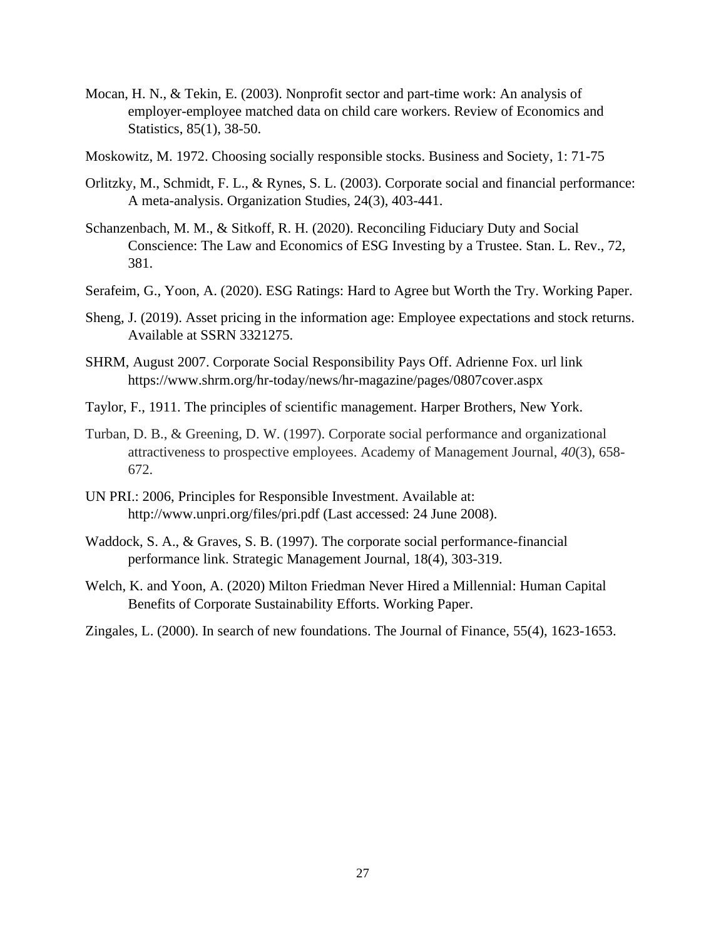- Mocan, H. N., & Tekin, E. (2003). Nonprofit sector and part-time work: An analysis of employer-employee matched data on child care workers. Review of Economics and Statistics, 85(1), 38-50.
- Moskowitz, M. 1972. Choosing socially responsible stocks. Business and Society, 1: 71-75
- Orlitzky, M., Schmidt, F. L., & Rynes, S. L. (2003). Corporate social and financial performance: A meta-analysis. Organization Studies, 24(3), 403-441.
- Schanzenbach, M. M., & Sitkoff, R. H. (2020). Reconciling Fiduciary Duty and Social Conscience: The Law and Economics of ESG Investing by a Trustee. Stan. L. Rev., 72, 381.
- Serafeim, G., Yoon, A. (2020). ESG Ratings: Hard to Agree but Worth the Try. Working Paper.
- Sheng, J. (2019). Asset pricing in the information age: Employee expectations and stock returns. Available at SSRN 3321275.
- SHRM, August 2007. Corporate Social Responsibility Pays Off. Adrienne Fox. url link https://www.shrm.org/hr-today/news/hr-magazine/pages/0807cover.aspx
- Taylor, F., 1911. The principles of scientific management. Harper Brothers, New York.
- Turban, D. B., & Greening, D. W. (1997). Corporate social performance and organizational attractiveness to prospective employees. Academy of Management Journal, *40*(3), 658- 672.
- UN PRI.: 2006, Principles for Responsible Investment. Available at: http://www.unpri.org/files/pri.pdf (Last accessed: 24 June 2008).
- Waddock, S. A., & Graves, S. B. (1997). The corporate social performance-financial performance link. Strategic Management Journal, 18(4), 303-319.
- Welch, K. and Yoon, A. (2020) Milton Friedman Never Hired a Millennial: Human Capital Benefits of Corporate Sustainability Efforts. Working Paper.
- Zingales, L. (2000). In search of new foundations. The Journal of Finance, 55(4), 1623-1653.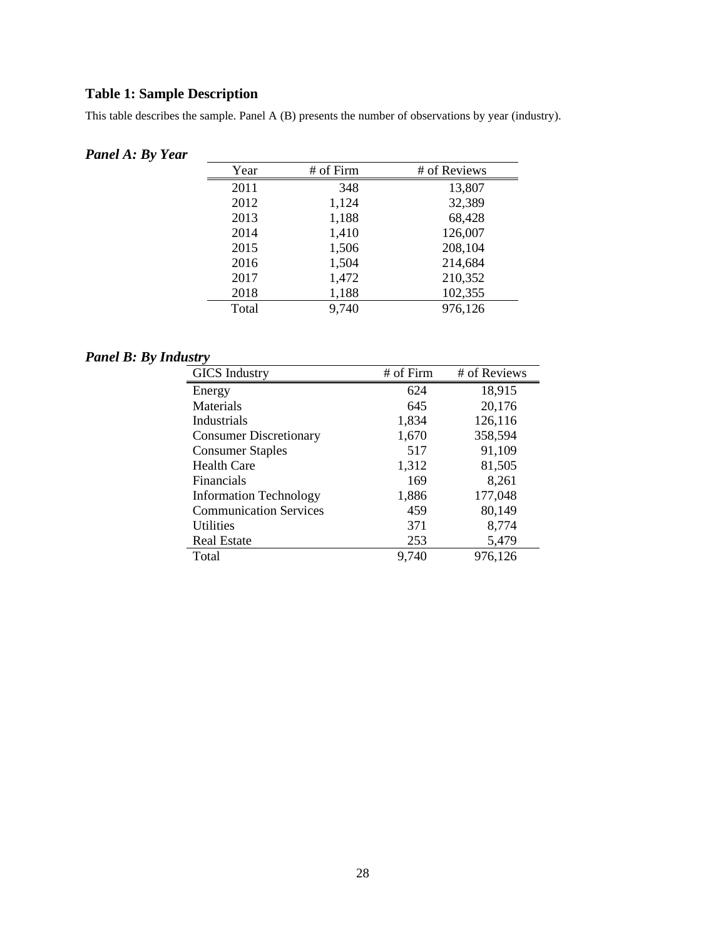# **Table 1: Sample Description**

This table describes the sample. Panel A (B) presents the number of observations by year (industry).

# *Panel A: By Year*

| Year  | # of Firm | # of Reviews |
|-------|-----------|--------------|
| 2011  | 348       | 13,807       |
| 2012  | 1,124     | 32,389       |
| 2013  | 1,188     | 68,428       |
| 2014  | 1,410     | 126,007      |
| 2015  | 1,506     | 208,104      |
| 2016  | 1,504     | 214,684      |
| 2017  | 1,472     | 210,352      |
| 2018  | 1,188     | 102,355      |
| Total | 9,740     | 976,126      |

# *Panel B: By Industry*

| <b>GICS</b> Industry          | # of Firm | # of Reviews |
|-------------------------------|-----------|--------------|
| Energy                        | 624       | 18,915       |
| Materials                     | 645       | 20,176       |
| Industrials                   | 1,834     | 126,116      |
| <b>Consumer Discretionary</b> | 1,670     | 358,594      |
| <b>Consumer Staples</b>       | 517       | 91,109       |
| <b>Health Care</b>            | 1,312     | 81,505       |
| <b>Financials</b>             | 169       | 8,261        |
| <b>Information Technology</b> | 1,886     | 177,048      |
| <b>Communication Services</b> | 459       | 80,149       |
| Utilities                     | 371       | 8,774        |
| <b>Real Estate</b>            | 253       | 5,479        |
| Total                         | 9,740     | 976,126      |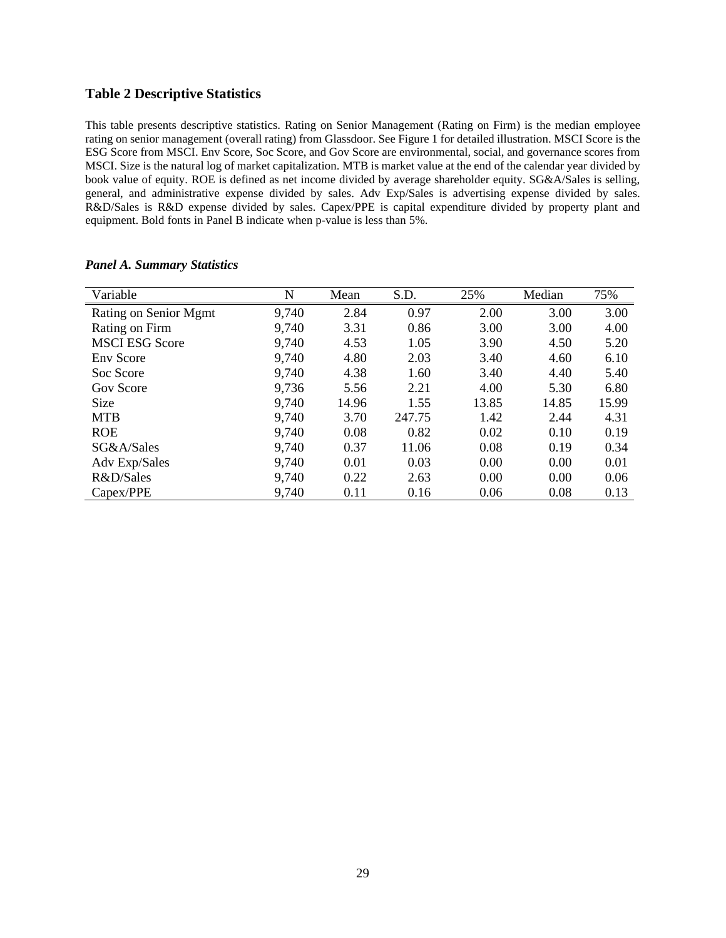## **Table 2 Descriptive Statistics**

This table presents descriptive statistics. Rating on Senior Management (Rating on Firm) is the median employee rating on senior management (overall rating) from Glassdoor. See Figure 1 for detailed illustration. MSCI Score is the ESG Score from MSCI. Env Score, Soc Score, and Gov Score are environmental, social, and governance scores from MSCI. Size is the natural log of market capitalization. MTB is market value at the end of the calendar year divided by book value of equity. ROE is defined as net income divided by average shareholder equity. SG&A/Sales is selling, general, and administrative expense divided by sales. Adv Exp/Sales is advertising expense divided by sales. R&D/Sales is R&D expense divided by sales. Capex/PPE is capital expenditure divided by property plant and equipment. Bold fonts in Panel B indicate when p-value is less than 5%.

| Variable              | N     | Mean  | S.D.   | 25%   | Median | 75%   |
|-----------------------|-------|-------|--------|-------|--------|-------|
| Rating on Senior Mgmt | 9,740 | 2.84  | 0.97   | 2.00  | 3.00   | 3.00  |
| Rating on Firm        | 9,740 | 3.31  | 0.86   | 3.00  | 3.00   | 4.00  |
| <b>MSCI ESG Score</b> | 9,740 | 4.53  | 1.05   | 3.90  | 4.50   | 5.20  |
| <b>Env</b> Score      | 9,740 | 4.80  | 2.03   | 3.40  | 4.60   | 6.10  |
| Soc Score             | 9,740 | 4.38  | 1.60   | 3.40  | 4.40   | 5.40  |
| Gov Score             | 9,736 | 5.56  | 2.21   | 4.00  | 5.30   | 6.80  |
| Size                  | 9,740 | 14.96 | 1.55   | 13.85 | 14.85  | 15.99 |
| <b>MTB</b>            | 9,740 | 3.70  | 247.75 | 1.42  | 2.44   | 4.31  |
| <b>ROE</b>            | 9,740 | 0.08  | 0.82   | 0.02  | 0.10   | 0.19  |
| SG&A/Sales            | 9,740 | 0.37  | 11.06  | 0.08  | 0.19   | 0.34  |
| Adv Exp/Sales         | 9,740 | 0.01  | 0.03   | 0.00  | 0.00   | 0.01  |
| R&D/Sales             | 9,740 | 0.22  | 2.63   | 0.00  | 0.00   | 0.06  |
| Capex/PPE             | 9,740 | 0.11  | 0.16   | 0.06  | 0.08   | 0.13  |

### *Panel A. Summary Statistics*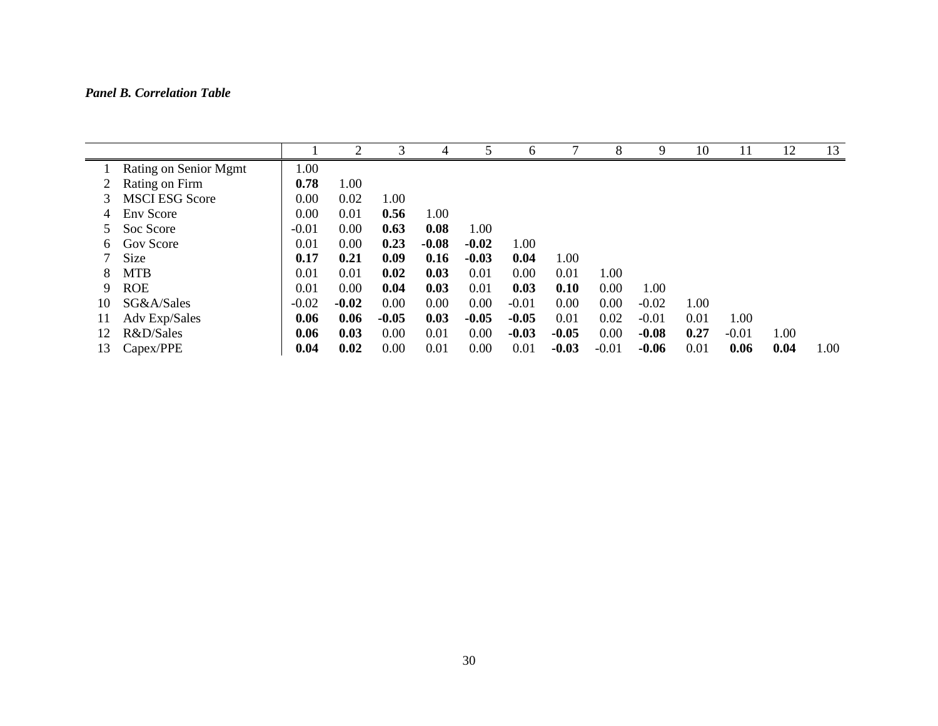# *Panel B. Correlation Table*

|    |                       |         | ↑       | 3       |         |         | 6       |         | 8       | 9       | 10   |         | 12   | 13   |
|----|-----------------------|---------|---------|---------|---------|---------|---------|---------|---------|---------|------|---------|------|------|
|    | Rating on Senior Mgmt | 1.00    |         |         |         |         |         |         |         |         |      |         |      |      |
|    | Rating on Firm        | 0.78    | 1.00    |         |         |         |         |         |         |         |      |         |      |      |
| 3  | <b>MSCI ESG Score</b> | 0.00    | 0.02    | 1.00    |         |         |         |         |         |         |      |         |      |      |
| 4  | <b>Env</b> Score      | 0.00    | 0.01    | 0.56    | 1.00    |         |         |         |         |         |      |         |      |      |
|    | Soc Score             | $-0.01$ | 0.00    | 0.63    | 0.08    | 1.00    |         |         |         |         |      |         |      |      |
| 6. | Gov Score             | 0.01    | 0.00    | 0.23    | $-0.08$ | $-0.02$ | 1.00    |         |         |         |      |         |      |      |
|    | Size                  | 0.17    | 0.21    | 0.09    | 0.16    | $-0.03$ | 0.04    | 1.00    |         |         |      |         |      |      |
| 8  | <b>MTB</b>            | 0.01    | 0.01    | 0.02    | 0.03    | 0.01    | 0.00    | 0.01    | 1.00    |         |      |         |      |      |
| 9  | <b>ROE</b>            | 0.01    | 0.00    | 0.04    | 0.03    | 0.01    | 0.03    | 0.10    | 0.00    | 1.00    |      |         |      |      |
| 10 | SG&A/Sales            | $-0.02$ | $-0.02$ | 0.00    | 0.00    | 0.00    | $-0.01$ | 0.00    | 0.00    | $-0.02$ | 1.00 |         |      |      |
| 11 | Adv Exp/Sales         | 0.06    | 0.06    | $-0.05$ | 0.03    | $-0.05$ | $-0.05$ | 0.01    | 0.02    | $-0.01$ | 0.01 | 1.00    |      |      |
| 12 | R&D/Sales             | 0.06    | 0.03    | 0.00    | 0.01    | 0.00    | $-0.03$ | $-0.05$ | 0.00    | $-0.08$ | 0.27 | $-0.01$ | 1.00 |      |
| 13 | Capex/PPE             | 0.04    | 0.02    | 0.00    | 0.01    | 0.00    | 0.01    | $-0.03$ | $-0.01$ | $-0.06$ | 0.01 | 0.06    | 0.04 | 1.00 |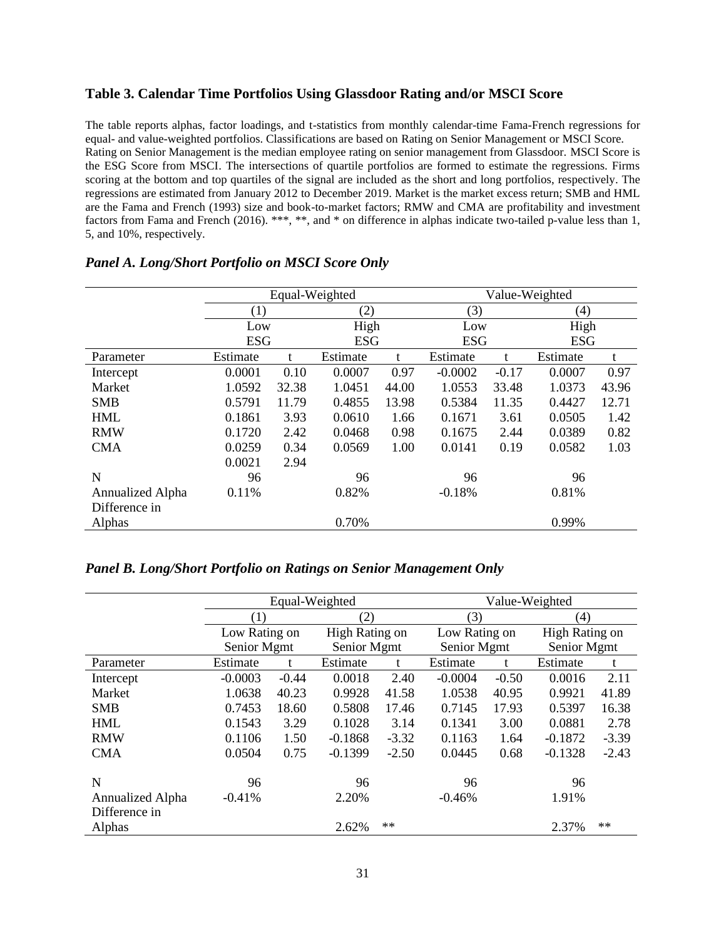## **Table 3. Calendar Time Portfolios Using Glassdoor Rating and/or MSCI Score**

The table reports alphas, factor loadings, and t-statistics from monthly calendar-time Fama-French regressions for equal- and value-weighted portfolios. Classifications are based on Rating on Senior Management or MSCI Score. Rating on Senior Management is the median employee rating on senior management from Glassdoor. MSCI Score is the ESG Score from MSCI. The intersections of quartile portfolios are formed to estimate the regressions. Firms scoring at the bottom and top quartiles of the signal are included as the short and long portfolios, respectively. The regressions are estimated from January 2012 to December 2019. Market is the market excess return; SMB and HML are the Fama and French (1993) size and book-to-market factors; RMW and CMA are profitability and investment factors from Fama and French (2016). \*\*\*, \*\*, and \* on difference in alphas indicate two-tailed p-value less than 1, 5, and 10%, respectively.

|                  |            | Equal-Weighted |            |            | Value-Weighted |            |          |       |  |
|------------------|------------|----------------|------------|------------|----------------|------------|----------|-------|--|
|                  | (1)        |                | (2)        |            | (3)            |            | (4)      |       |  |
|                  | Low        |                | High       |            | Low            |            | High     |       |  |
|                  | <b>ESG</b> |                | <b>ESG</b> | <b>ESG</b> |                | <b>ESG</b> |          |       |  |
| Parameter        | Estimate   |                | Estimate   | t          | Estimate       |            | Estimate | t     |  |
| Intercept        | 0.0001     | 0.10           | 0.0007     | 0.97       | $-0.0002$      | $-0.17$    | 0.0007   | 0.97  |  |
| Market           | 1.0592     | 32.38          | 1.0451     | 44.00      | 1.0553         | 33.48      | 1.0373   | 43.96 |  |
| <b>SMB</b>       | 0.5791     | 11.79          | 0.4855     | 13.98      | 0.5384         | 11.35      | 0.4427   | 12.71 |  |
| <b>HML</b>       | 0.1861     | 3.93           | 0.0610     | 1.66       | 0.1671         | 3.61       | 0.0505   | 1.42  |  |
| <b>RMW</b>       | 0.1720     | 2.42           | 0.0468     | 0.98       | 0.1675         | 2.44       | 0.0389   | 0.82  |  |
| <b>CMA</b>       | 0.0259     | 0.34           | 0.0569     | 1.00       | 0.0141         | 0.19       | 0.0582   | 1.03  |  |
|                  | 0.0021     | 2.94           |            |            |                |            |          |       |  |
| N                | 96         |                | 96         |            | 96             |            | 96       |       |  |
| Annualized Alpha | 0.11%      |                | 0.82%      |            | $-0.18%$       |            | 0.81%    |       |  |
| Difference in    |            |                |            |            |                |            |          |       |  |
| Alphas           |            |                | 0.70%      |            |                |            | 0.99%    |       |  |

### *Panel A. Long/Short Portfolio on MSCI Score Only*

*Panel B. Long/Short Portfolio on Ratings on Senior Management Only*

|                  |               | Equal-Weighted |                |         | Value-Weighted |         |                   |         |  |
|------------------|---------------|----------------|----------------|---------|----------------|---------|-------------------|---------|--|
|                  | (1)           |                | (2)            |         | (3)            |         | $\left( 4\right)$ |         |  |
|                  | Low Rating on |                | High Rating on |         | Low Rating on  |         | High Rating on    |         |  |
|                  | Senior Mgmt   |                | Senior Mgmt    |         | Senior Mgmt    |         | Senior Mgmt       |         |  |
| Parameter        | Estimate      | t.             | Estimate       | t       | Estimate       | t.      | Estimate          | t       |  |
| Intercept        | $-0.0003$     | $-0.44$        | 0.0018         | 2.40    | $-0.0004$      | $-0.50$ | 0.0016            | 2.11    |  |
| Market           | 1.0638        | 40.23          | 0.9928         | 41.58   | 1.0538         | 40.95   | 0.9921            | 41.89   |  |
| <b>SMB</b>       | 0.7453        | 18.60          | 0.5808         | 17.46   | 0.7145         | 17.93   | 0.5397            | 16.38   |  |
| <b>HML</b>       | 0.1543        | 3.29           | 0.1028         | 3.14    | 0.1341         | 3.00    | 0.0881            | 2.78    |  |
| <b>RMW</b>       | 0.1106        | 1.50           | $-0.1868$      | $-3.32$ | 0.1163         | 1.64    | $-0.1872$         | $-3.39$ |  |
| <b>CMA</b>       | 0.0504        | 0.75           | $-0.1399$      | $-2.50$ | 0.0445         | 0.68    | $-0.1328$         | $-2.43$ |  |
| N                | 96            |                | 96             |         | 96             |         | 96                |         |  |
| Annualized Alpha | $-0.41%$      |                | 2.20%          |         | $-0.46%$       |         | 1.91%             |         |  |
| Difference in    |               |                |                |         |                |         |                   |         |  |
| Alphas           |               |                | 2.62%          | $**$    |                |         | 2.37%             | $**$    |  |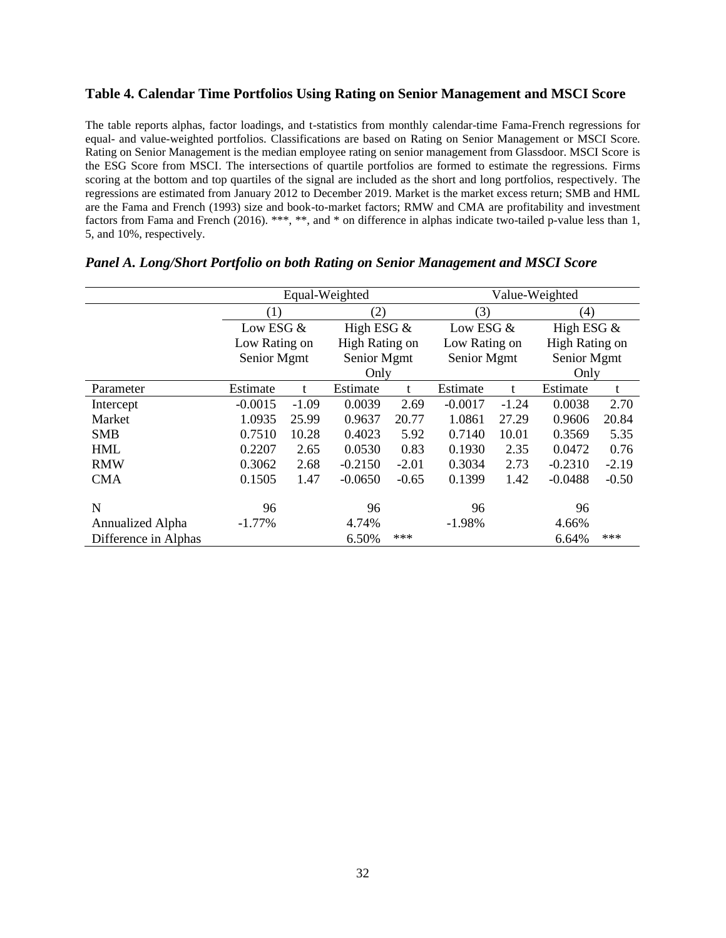## **Table 4. Calendar Time Portfolios Using Rating on Senior Management and MSCI Score**

The table reports alphas, factor loadings, and t-statistics from monthly calendar-time Fama-French regressions for equal- and value-weighted portfolios. Classifications are based on Rating on Senior Management or MSCI Score. Rating on Senior Management is the median employee rating on senior management from Glassdoor. MSCI Score is the ESG Score from MSCI. The intersections of quartile portfolios are formed to estimate the regressions. Firms scoring at the bottom and top quartiles of the signal are included as the short and long portfolios, respectively. The regressions are estimated from January 2012 to December 2019. Market is the market excess return; SMB and HML are the Fama and French (1993) size and book-to-market factors; RMW and CMA are profitability and investment factors from Fama and French (2016). \*\*\*, \*\*, and \* on difference in alphas indicate two-tailed p-value less than 1, 5, and 10%, respectively.

|                      |               |         | Equal-Weighted |              |               | Value-Weighted |                |         |  |  |  |
|----------------------|---------------|---------|----------------|--------------|---------------|----------------|----------------|---------|--|--|--|
|                      | (1)           |         | (2)            |              | (3)           |                | (4)            |         |  |  |  |
|                      | Low ESG &     |         |                | High ESG $&$ |               | Low ESG &      | High ESG $&$   |         |  |  |  |
|                      | Low Rating on |         | High Rating on |              | Low Rating on |                | High Rating on |         |  |  |  |
|                      | Senior Mgmt   |         | Senior Mgmt    |              | Senior Mgmt   |                | Senior Mgmt    |         |  |  |  |
|                      |               |         | Only           |              |               | Only           |                |         |  |  |  |
| Parameter            | Estimate      | t       | Estimate       | t            | Estimate      | t              | Estimate       | t       |  |  |  |
| Intercept            | $-0.0015$     | $-1.09$ | 0.0039         | 2.69         | $-0.0017$     | $-1.24$        | 0.0038         | 2.70    |  |  |  |
| Market               | 1.0935        | 25.99   | 0.9637         | 20.77        | 1.0861        | 27.29          | 0.9606         | 20.84   |  |  |  |
| <b>SMB</b>           | 0.7510        | 10.28   | 0.4023         | 5.92         | 0.7140        | 10.01          | 0.3569         | 5.35    |  |  |  |
| <b>HML</b>           | 0.2207        | 2.65    | 0.0530         | 0.83         | 0.1930        | 2.35           | 0.0472         | 0.76    |  |  |  |
| <b>RMW</b>           | 0.3062        | 2.68    | $-0.2150$      | $-2.01$      | 0.3034        | 2.73           | $-0.2310$      | $-2.19$ |  |  |  |
| <b>CMA</b>           | 0.1505        | 1.47    | $-0.0650$      | $-0.65$      | 0.1399        | 1.42           | $-0.0488$      | $-0.50$ |  |  |  |
| N                    | 96            |         | 96             |              | 96            |                | 96             |         |  |  |  |
| Annualized Alpha     | $-1.77\%$     |         | 4.74%          |              | $-1.98%$      |                | 4.66%          |         |  |  |  |
| Difference in Alphas |               |         | 6.50%          | ***          |               |                | 6.64%          | ***     |  |  |  |

| Panel A. Long/Short Portfolio on both Rating on Senior Management and MSCI Score |
|----------------------------------------------------------------------------------|
|----------------------------------------------------------------------------------|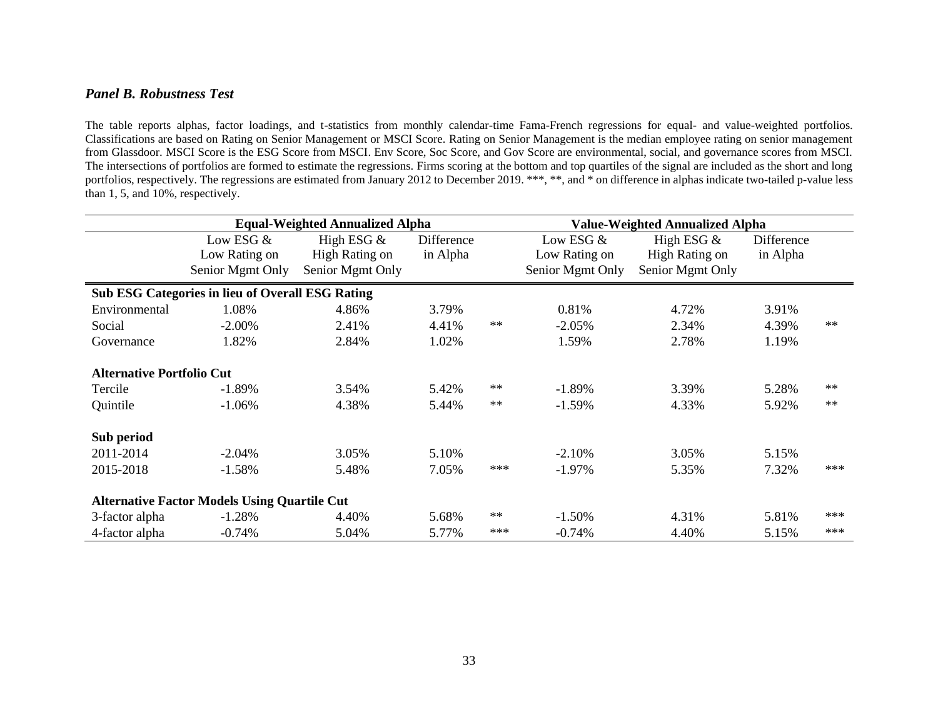## *Panel B. Robustness Test*

The table reports alphas, factor loadings, and t-statistics from monthly calendar-time Fama-French regressions for equal- and value-weighted portfolios. Classifications are based on Rating on Senior Management or MSCI Score. Rating on Senior Management is the median employee rating on senior management from Glassdoor. MSCI Score is the ESG Score from MSCI. Env Score, Soc Score, and Gov Score are environmental, social, and governance scores from MSCI. The intersections of portfolios are formed to estimate the regressions. Firms scoring at the bottom and top quartiles of the signal are included as the short and long portfolios, respectively. The regressions are estimated from January 2012 to December 2019. \*\*\*, \*\*, and \* on difference in alphas indicate two-tailed p-value less than 1, 5, and 10%, respectively.

|                                  |                                                         | <b>Equal-Weighted Annualized Alpha</b> |            |            | <b>Value-Weighted Annualized Alpha</b> |                  |            |            |  |  |  |
|----------------------------------|---------------------------------------------------------|----------------------------------------|------------|------------|----------------------------------------|------------------|------------|------------|--|--|--|
|                                  | Low ESG &                                               | High ESG $&$                           | Difference |            | Low ESG &                              | High ESG $&$     | Difference |            |  |  |  |
|                                  | Low Rating on                                           | High Rating on                         | in Alpha   |            | Low Rating on                          | High Rating on   | in Alpha   |            |  |  |  |
|                                  | Senior Mgmt Only                                        | Senior Mgmt Only                       |            |            | Senior Mgmt Only                       | Senior Mgmt Only |            |            |  |  |  |
|                                  | <b>Sub ESG Categories in lieu of Overall ESG Rating</b> |                                        |            |            |                                        |                  |            |            |  |  |  |
| Environmental                    | 1.08%                                                   | 4.86%                                  | 3.79%      |            | 0.81%                                  | 4.72%            | 3.91%      |            |  |  |  |
| Social                           | $-2.00%$                                                | 2.41%                                  | 4.41%      | $\ast\ast$ | $-2.05%$                               | 2.34%            | 4.39%      | $**$       |  |  |  |
| Governance                       | 1.82%                                                   | 2.84%                                  | 1.02%      |            | 1.59%                                  | 2.78%            | 1.19%      |            |  |  |  |
| <b>Alternative Portfolio Cut</b> |                                                         |                                        |            |            |                                        |                  |            |            |  |  |  |
| Tercile                          | $-1.89%$                                                | 3.54%                                  | 5.42%      | $***$      | $-1.89%$                               | 3.39%            | 5.28%      | $\ast\ast$ |  |  |  |
| Quintile                         | $-1.06%$                                                | 4.38%                                  | 5.44%      | $***$      | $-1.59%$                               | 4.33%            | 5.92%      | $**$       |  |  |  |
| Sub period                       |                                                         |                                        |            |            |                                        |                  |            |            |  |  |  |
| 2011-2014                        | $-2.04%$                                                | 3.05%                                  | 5.10%      |            | $-2.10%$                               | 3.05%            | 5.15%      |            |  |  |  |
| 2015-2018                        | $-1.58%$                                                | 5.48%                                  | 7.05%      | ***        | $-1.97\%$                              | 5.35%            | 7.32%      | ***        |  |  |  |
|                                  | <b>Alternative Factor Models Using Quartile Cut</b>     |                                        |            |            |                                        |                  |            |            |  |  |  |
| 3-factor alpha                   | $-1.28%$                                                | 4.40%                                  | 5.68%      | $**$       | $-1.50%$                               | 4.31%            | 5.81%      | $***$      |  |  |  |
| 4-factor alpha                   | $-0.74%$                                                | 5.04%                                  | 5.77%      | ***        | $-0.74%$                               | 4.40%            | 5.15%      | $***$      |  |  |  |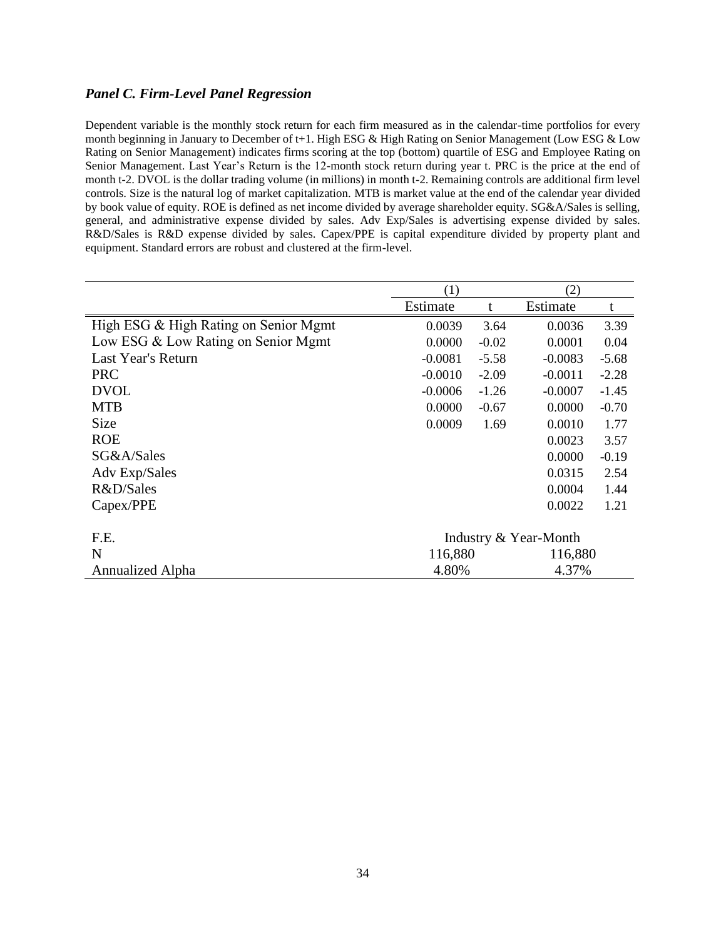## *Panel C. Firm-Level Panel Regression*

Dependent variable is the monthly stock return for each firm measured as in the calendar-time portfolios for every month beginning in January to December of t+1. High ESG & High Rating on Senior Management (Low ESG & Low Rating on Senior Management) indicates firms scoring at the top (bottom) quartile of ESG and Employee Rating on Senior Management. Last Year's Return is the 12-month stock return during year t. PRC is the price at the end of month t-2. DVOL is the dollar trading volume (in millions) in month t-2. Remaining controls are additional firm level controls. Size is the natural log of market capitalization. MTB is market value at the end of the calendar year divided by book value of equity. ROE is defined as net income divided by average shareholder equity. SG&A/Sales is selling, general, and administrative expense divided by sales. Adv Exp/Sales is advertising expense divided by sales. R&D/Sales is R&D expense divided by sales. Capex/PPE is capital expenditure divided by property plant and equipment. Standard errors are robust and clustered at the firm-level.

|                                       | (1)                   |         | (2)       |         |  |  |
|---------------------------------------|-----------------------|---------|-----------|---------|--|--|
|                                       | Estimate              |         | Estimate  | t       |  |  |
| High ESG & High Rating on Senior Mgmt | 0.0039                | 3.64    | 0.0036    | 3.39    |  |  |
| Low ESG & Low Rating on Senior Mgmt   | 0.0000                | $-0.02$ | 0.0001    | 0.04    |  |  |
| Last Year's Return                    | $-0.0081$             | $-5.58$ | $-0.0083$ | $-5.68$ |  |  |
| <b>PRC</b>                            | $-0.0010$             | $-2.09$ | $-0.0011$ | $-2.28$ |  |  |
| <b>DVOL</b>                           | $-0.0006$             | $-1.26$ | $-0.0007$ | $-1.45$ |  |  |
| <b>MTB</b>                            | 0.0000                | $-0.67$ | 0.0000    | $-0.70$ |  |  |
| Size                                  | 0.0009                | 1.69    | 0.0010    | 1.77    |  |  |
| <b>ROE</b>                            |                       |         | 0.0023    | 3.57    |  |  |
| SG&A/Sales                            |                       |         | 0.0000    | $-0.19$ |  |  |
| Adv Exp/Sales                         |                       |         | 0.0315    | 2.54    |  |  |
| R&D/Sales                             |                       |         | 0.0004    | 1.44    |  |  |
| Capex/PPE                             |                       |         | 0.0022    | 1.21    |  |  |
| F.E.                                  | Industry & Year-Month |         |           |         |  |  |
| N                                     | 116,880               |         | 116,880   |         |  |  |
|                                       |                       |         |           |         |  |  |
| Annualized Alpha                      | 4.80%                 |         | 4.37%     |         |  |  |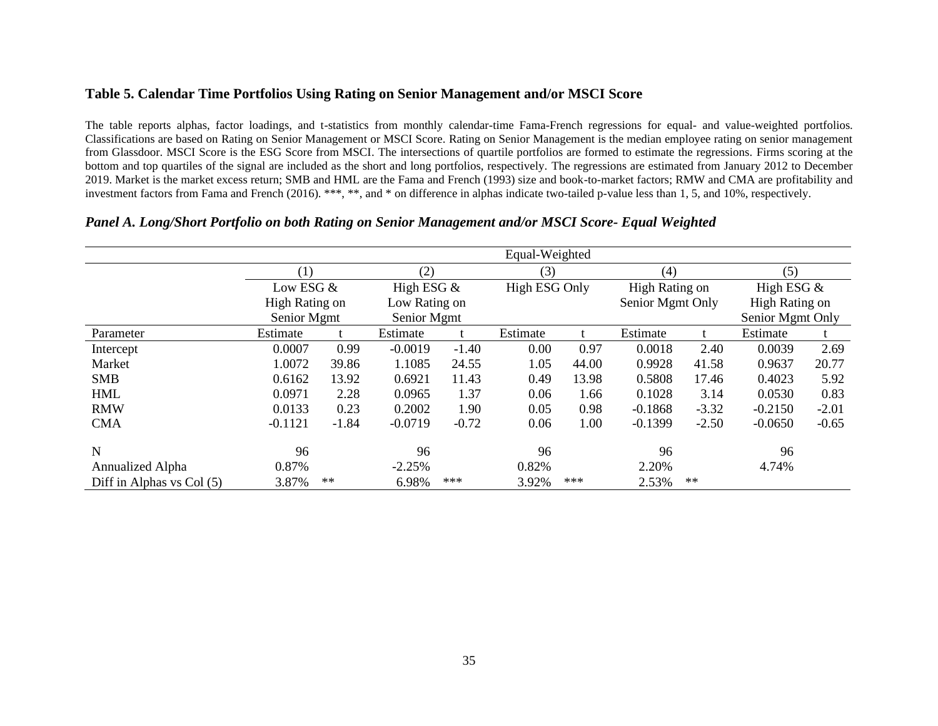## **Table 5. Calendar Time Portfolios Using Rating on Senior Management and/or MSCI Score**

The table reports alphas, factor loadings, and t-statistics from monthly calendar-time Fama-French regressions for equal- and value-weighted portfolios. Classifications are based on Rating on Senior Management or MSCI Score. Rating on Senior Management is the median employee rating on senior management from Glassdoor. MSCI Score is the ESG Score from MSCI. The intersections of quartile portfolios are formed to estimate the regressions. Firms scoring at the bottom and top quartiles of the signal are included as the short and long portfolios, respectively. The regressions are estimated from January 2012 to December 2019. Market is the market excess return; SMB and HML are the Fama and French (1993) size and book-to-market factors; RMW and CMA are profitability and investment factors from Fama and French (2016). \*\*\*, \*\*, and \* on difference in alphas indicate two-tailed p-value less than 1, 5, and 10%, respectively.

|                           |                |            |              |               | Equal-Weighted |       |                |                  |                  |         |
|---------------------------|----------------|------------|--------------|---------------|----------------|-------|----------------|------------------|------------------|---------|
|                           | (1)            |            | (2)          |               | (3)            |       | (4)            |                  | (5)              |         |
|                           | Low ESG &      |            | High ESG $&$ |               | High ESG Only  |       | High Rating on |                  | High ESG $&$     |         |
|                           | High Rating on |            |              | Low Rating on |                |       |                | Senior Mgmt Only | High Rating on   |         |
|                           | Senior Mgmt    |            |              | Senior Mgmt   |                |       |                |                  | Senior Mgmt Only |         |
| Parameter                 | Estimate       |            | Estimate     |               | Estimate       |       | Estimate       |                  | Estimate         |         |
| Intercept                 | 0.0007         | 0.99       | $-0.0019$    | $-1.40$       | 0.00           | 0.97  | 0.0018         | 2.40             | 0.0039           | 2.69    |
| Market                    | 1.0072         | 39.86      | 1.1085       | 24.55         | 1.05           | 44.00 | 0.9928         | 41.58            | 0.9637           | 20.77   |
| <b>SMB</b>                | 0.6162         | 13.92      | 0.6921       | 11.43         | 0.49           | 13.98 | 0.5808         | 17.46            | 0.4023           | 5.92    |
| <b>HML</b>                | 0.0971         | 2.28       | 0.0965       | 1.37          | 0.06           | 1.66  | 0.1028         | 3.14             | 0.0530           | 0.83    |
| <b>RMW</b>                | 0.0133         | 0.23       | 0.2002       | 1.90          | 0.05           | 0.98  | $-0.1868$      | $-3.32$          | $-0.2150$        | $-2.01$ |
| <b>CMA</b>                | $-0.1121$      | $-1.84$    | $-0.0719$    | $-0.72$       | 0.06           | 1.00  | $-0.1399$      | $-2.50$          | $-0.0650$        | $-0.65$ |
| N                         | 96             |            | 96           |               | 96             |       | 96             |                  | 96               |         |
| Annualized Alpha          | 0.87%          |            | $-2.25%$     |               | 0.82%          |       | 2.20%          |                  | 4.74%            |         |
| Diff in Alphas vs Col (5) | 3.87%          | $\ast\ast$ | 6.98%        | $***$         | 3.92%          | ***   | 2.53%          | $**$             |                  |         |

### *Panel A. Long/Short Portfolio on both Rating on Senior Management and/or MSCI Score- Equal Weighted*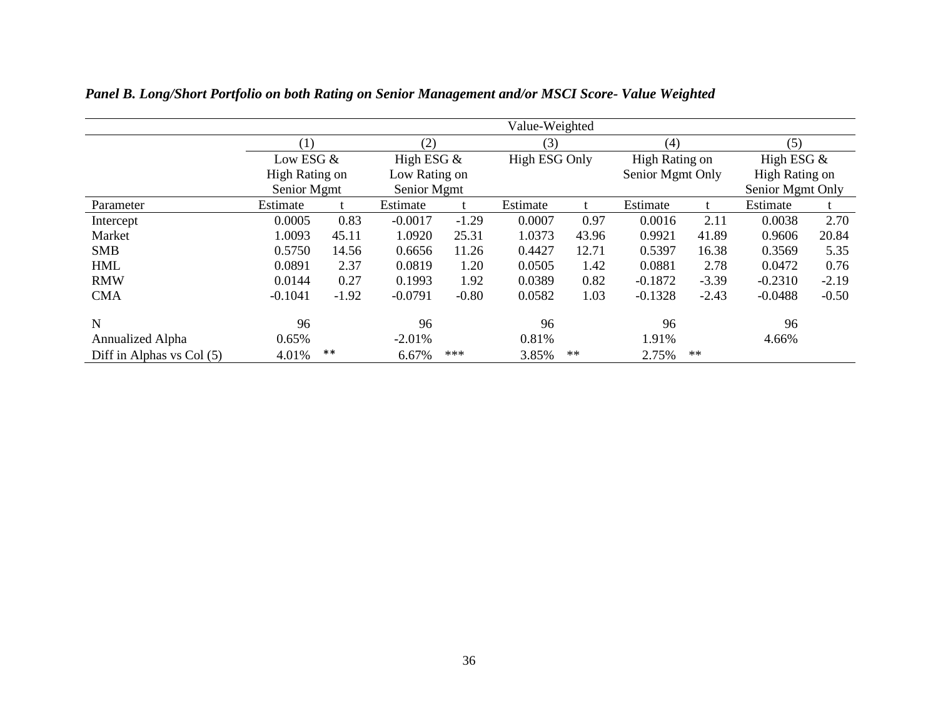|                           |                |         |             |                               | Value-Weighted |                      |                |                  |                     |                  |  |
|---------------------------|----------------|---------|-------------|-------------------------------|----------------|----------------------|----------------|------------------|---------------------|------------------|--|
|                           | (1)            |         | (2)         |                               | (3)            |                      | (4)            |                  | (5)<br>High ESG $&$ |                  |  |
|                           | Low ESG &      |         |             | High ESG $&$<br>Low Rating on |                | <b>High ESG Only</b> | High Rating on |                  |                     |                  |  |
|                           | High Rating on |         |             |                               |                |                      |                | Senior Mgmt Only |                     | High Rating on   |  |
|                           | Senior Mgmt    |         | Senior Mgmt |                               |                |                      |                |                  |                     | Senior Mgmt Only |  |
| Parameter                 | Estimate       |         | Estimate    |                               | Estimate       |                      | Estimate       |                  | Estimate            |                  |  |
| Intercept                 | 0.0005         | 0.83    | $-0.0017$   | $-1.29$                       | 0.0007         | 0.97                 | 0.0016         | 2.11             | 0.0038              | 2.70             |  |
| Market                    | 1.0093         | 45.11   | 1.0920      | 25.31                         | 1.0373         | 43.96                | 0.9921         | 41.89            | 0.9606              | 20.84            |  |
| <b>SMB</b>                | 0.5750         | 14.56   | 0.6656      | 11.26                         | 0.4427         | 12.71                | 0.5397         | 16.38            | 0.3569              | 5.35             |  |
| <b>HML</b>                | 0.0891         | 2.37    | 0.0819      | 1.20                          | 0.0505         | 1.42                 | 0.0881         | 2.78             | 0.0472              | 0.76             |  |
| <b>RMW</b>                | 0.0144         | 0.27    | 0.1993      | 1.92                          | 0.0389         | 0.82                 | $-0.1872$      | $-3.39$          | $-0.2310$           | $-2.19$          |  |
| <b>CMA</b>                | $-0.1041$      | $-1.92$ | $-0.0791$   | $-0.80$                       | 0.0582         | 1.03                 | $-0.1328$      | $-2.43$          | $-0.0488$           | $-0.50$          |  |
| $\mathbf N$               | 96             |         | 96          |                               | 96             |                      | 96             |                  | 96                  |                  |  |
| Annualized Alpha          | 0.65%          |         | $-2.01%$    |                               | 0.81%          |                      | 1.91%          |                  | 4.66%               |                  |  |
| Diff in Alphas vs Col (5) | 4.01%          | $***$   | 6.67%       | $***$                         | 3.85%          | $\ast\ast$           | 2.75%          | **               |                     |                  |  |

*Panel B. Long/Short Portfolio on both Rating on Senior Management and/or MSCI Score- Value Weighted*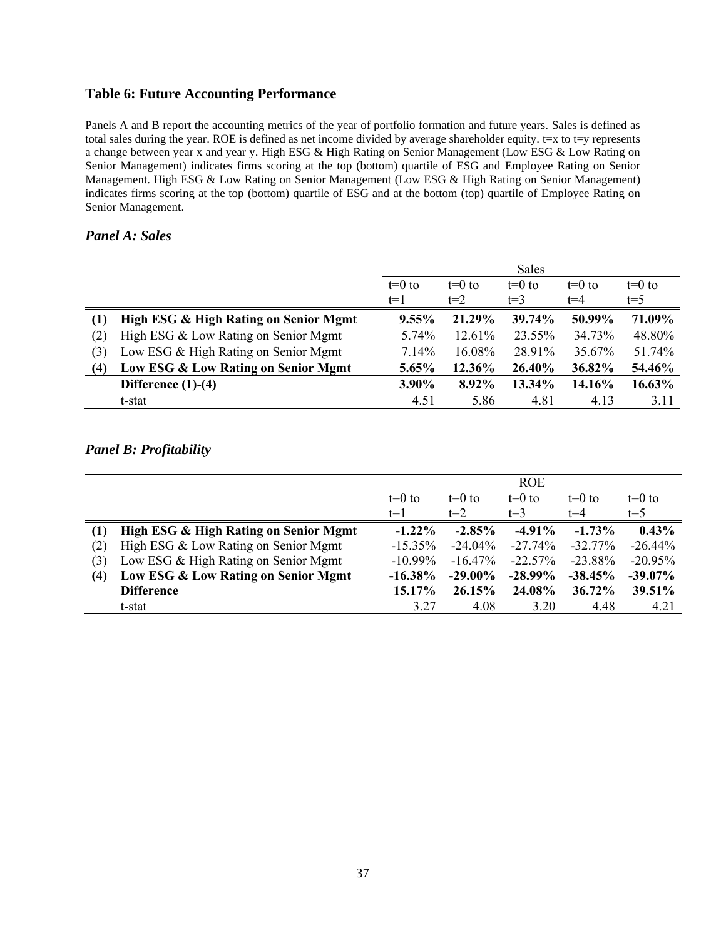# **Table 6: Future Accounting Performance**

Panels A and B report the accounting metrics of the year of portfolio formation and future years. Sales is defined as total sales during the year. ROE is defined as net income divided by average shareholder equity. t=x to t=y represents a change between year x and year y. High ESG & High Rating on Senior Management (Low ESG & Low Rating on Senior Management) indicates firms scoring at the top (bottom) quartile of ESG and Employee Rating on Senior Management. High ESG & Low Rating on Senior Management (Low ESG & High Rating on Senior Management) indicates firms scoring at the top (bottom) quartile of ESG and at the bottom (top) quartile of Employee Rating on Senior Management.

## *Panel A: Sales*

|     |                                       |          |          | Sales    |          |          |
|-----|---------------------------------------|----------|----------|----------|----------|----------|
|     |                                       | $t=0$ to | $t=0$ to | $t=0$ to | $t=0$ to | $t=0$ to |
|     |                                       | $t=1$    | $t=2$    | $t=3$    | t=4      | $t = 5$  |
| (1) | High ESG & High Rating on Senior Mgmt | $9.55\%$ | 21.29%   | 39.74%   | 50.99%   | 71.09%   |
| (2) | High ESG & Low Rating on Senior Mgmt  | 5.74%    | 12.61%   | 23.55%   | 34.73%   | 48.80%   |
| (3) | Low ESG & High Rating on Senior Mgmt  | 7.14%    | 16.08%   | 28.91%   | 35.67%   | 51.74%   |
| (4) | Low ESG & Low Rating on Senior Mgmt   | 5.65%    | 12.36%   | 26.40%   | 36.82%   | 54.46%   |
|     | Difference $(1)-(4)$                  | 3.90%    | 8.92%    | 13.34%   | 14.16%   | 16.63%   |
|     | t-stat                                | 4.51     | 5.86     | 4.81     | 4.13     | 3.11     |

# *Panel B: Profitability*

|     |                                       |            |            | <b>ROE</b> |           |            |
|-----|---------------------------------------|------------|------------|------------|-----------|------------|
|     |                                       | $t=0$ to   | $t=0$ to   | $t=0$ to   | $t=0$ to  | $t=0$ to   |
|     |                                       | $t=1$      | $t=2$      | $t=3$      | $t = 4$   | $t = 5$    |
| (1) | High ESG & High Rating on Senior Mgmt | $-1.22\%$  | $-2.85\%$  | $-4.91\%$  | $-1.73%$  | $0.43\%$   |
| (2) | High ESG & Low Rating on Senior Mgmt  | $-15.35%$  | $-24.04\%$ | $-27.74%$  | $-32.77%$ | $-26.44%$  |
| (3) | Low ESG & High Rating on Senior Mgmt  | $-10.99\%$ | $-16.47\%$ | $-22.57%$  | $-23.88%$ | $-20.95%$  |
| (4) | Low ESG & Low Rating on Senior Mgmt   | $-16.38\%$ | $-29.00\%$ | $-28.99\%$ | $-38.45%$ | $-39.07\%$ |
|     | <b>Difference</b>                     | 15.17%     | 26.15%     | 24.08%     | $36.72\%$ | 39.51%     |
|     | t-stat                                | 3.27       | 4.08       | 3.20       | 4.48      | 4.21       |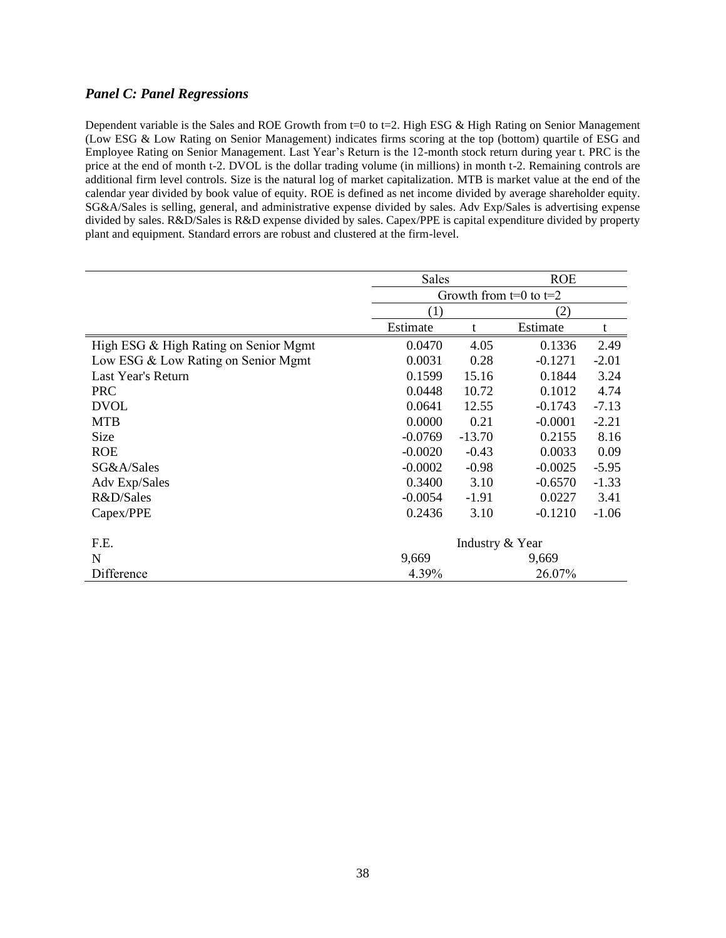## *Panel C: Panel Regressions*

Dependent variable is the Sales and ROE Growth from  $t=0$  to  $t=2$ . High ESG & High Rating on Senior Management (Low ESG & Low Rating on Senior Management) indicates firms scoring at the top (bottom) quartile of ESG and Employee Rating on Senior Management. Last Year's Return is the 12-month stock return during year t. PRC is the price at the end of month t-2. DVOL is the dollar trading volume (in millions) in month t-2. Remaining controls are additional firm level controls. Size is the natural log of market capitalization. MTB is market value at the end of the calendar year divided by book value of equity. ROE is defined as net income divided by average shareholder equity. SG&A/Sales is selling, general, and administrative expense divided by sales. Adv Exp/Sales is advertising expense divided by sales. R&D/Sales is R&D expense divided by sales. Capex/PPE is capital expenditure divided by property plant and equipment. Standard errors are robust and clustered at the firm-level.

|                                       | Sales                      |          | <b>ROE</b> |         |
|---------------------------------------|----------------------------|----------|------------|---------|
|                                       | Growth from $t=0$ to $t=2$ |          |            |         |
|                                       | (1)                        |          | (2)        |         |
|                                       | Estimate                   | t        | Estimate   |         |
| High ESG & High Rating on Senior Mgmt | 0.0470                     | 4.05     | 0.1336     | 2.49    |
| Low ESG & Low Rating on Senior Mgmt   | 0.0031                     | 0.28     | $-0.1271$  | $-2.01$ |
| Last Year's Return                    | 0.1599                     | 15.16    | 0.1844     | 3.24    |
| <b>PRC</b>                            | 0.0448                     | 10.72    | 0.1012     | 4.74    |
| <b>DVOL</b>                           | 0.0641                     | 12.55    | $-0.1743$  | $-7.13$ |
| <b>MTB</b>                            | 0.0000                     | 0.21     | $-0.0001$  | $-2.21$ |
| Size                                  | $-0.0769$                  | $-13.70$ | 0.2155     | 8.16    |
| <b>ROE</b>                            | $-0.0020$                  | $-0.43$  | 0.0033     | 0.09    |
| SG&A/Sales                            | $-0.0002$                  | $-0.98$  | $-0.0025$  | $-5.95$ |
| Adv Exp/Sales                         | 0.3400                     | 3.10     | $-0.6570$  | $-1.33$ |
| R&D/Sales                             | $-0.0054$                  | $-1.91$  | 0.0227     | 3.41    |
| Capex/PPE                             | 0.2436                     | 3.10     | $-0.1210$  | $-1.06$ |
| F.E.                                  | Industry & Year            |          |            |         |
| N                                     | 9,669                      |          | 9,669      |         |
| Difference                            | 4.39%                      |          | 26.07%     |         |